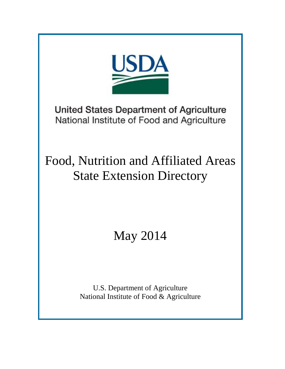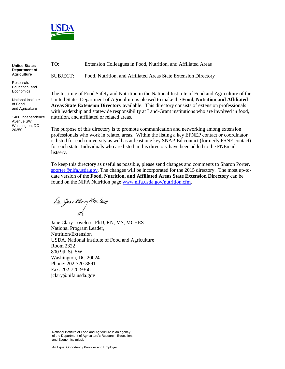

**United States Department of Agriculture**

Research, Education, and **Economics** 

National Institute of Food and Agriculture

1400 Independence Avenue SW Washington, DC 20250

TO: Extension Colleagues in Food, Nutrition, and Affiliated Areas

SUBJECT: Food, Nutrition, and Affiliated Areas State Extension Directory

The Institute of Food Safety and Nutrition in the National Institute of Food and Agriculture of the United States Department of Agriculture is pleased to make the **Food, Nutrition and Affiliated Areas State Extension Directory** available. This directory consists of extension professionals with leadership and statewide responsibility at Land-Grant institutions who are involved in food, nutrition, and affiliated or related areas.

The purpose of this directory is to promote communication and networking among extension professionals who work in related areas. Within the listing a key EFNEP contact or coordinator is listed for each university as well as at least one key SNAP-Ed contact (formerly FSNE contact) for each state. Individuals who are listed in this directory have been added to the FNEmail listserv.

To keep this directory as useful as possible, please send changes and comments to Sharon Porter, [sporter@nifa.usda.gov.](mailto:sporter@nifa.usda.gov) The changes will be incorporated for the 2015 directory. The most up-todate version of the **Food, Nutrition, and Affiliated Areas State Extension Directory** can be found on the NIFA Nutrition page [www.nifa.usda.gov/nutrition.cfm.](http://www.nifa.usda.gov/nutrition.cfm)

Dr. Jene Dary Love leas

Jane Clary Loveless, PhD, RN, MS, MCHES National Program Leader, Nutrition/Extension USDA, National Institute of Food and Agriculture Room 2322 800 9th St. SW Washington, DC 20024 Phone: 202-720-3891 Fax: 202-720-9366 [jclary@nifa.usda.gov](mailto:jclary@nifa.usda.gov)

National Institute of Food and Agriculture is an agency of the Department of Agriculture's Research, Education, and Economics mission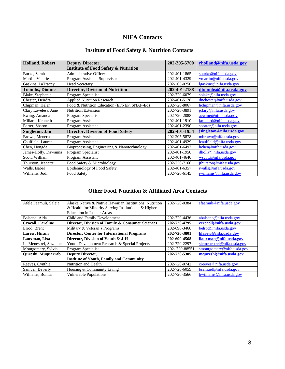# **NIFA Contacts**

## **Institute of Food Safety & Nutrition Contacts**

| <b>Holland, Robert</b> | <b>Deputy Director,</b>                                                          | 202-205-5700 | rholland@nifa.usda.gov   |
|------------------------|----------------------------------------------------------------------------------|--------------|--------------------------|
|                        | <b>Institute of Food Safety &amp; Nutrition</b><br><b>Administrative Officer</b> | 202-401-1865 |                          |
| Burke, Sarah           |                                                                                  |              | sburke@nifa.usda.gov     |
| Martin, Valerie        | Program Assistant Supervisor                                                     | 202-401-4329 | vmartin@nifa.usda.gov    |
| Gaskins, LaTracey      | <b>Head Secretary</b>                                                            | 202-205-0250 | lgaskins@nifa.usda.gov   |
| <b>Toombs, Dionne</b>  | <b>Director, Division of Nutrition</b>                                           | 202-401-2138 | dtoombs@nifa.usda.gov    |
| Blake, Stephanie       | Program Specialist                                                               | 202-720-6079 | sblake@nifa.usda.gov     |
| Chester, Deirdra       | <b>Applied Nutrition Research</b>                                                | 202-401-5178 | dnchester@nifa.usda.gov  |
| Chipman, Helen         | Food & Nutrition Education (EFNEP, SNAP-Ed)                                      | 202-720-8067 | hchipman@nifa.usda.gov   |
| Clary Loveless, Jane   | Nutrition/Extension                                                              | 202-720-3891 | jclary@nifa.usda.gov     |
| Ewing, Amanda          | Program Specialist                                                               | 202-720-2088 | aewing@nifa.usda.gov     |
| Millard, Kenneth       | Program Assistant                                                                | 202-401-1910 | kmillard@nifa.usda.gov   |
| Porter, Sharon         | Program Assistant                                                                | 202-401-2390 | sporter@nifa.usda.gov    |
| Singleton, Jan         | <b>Director, Division of Food Safety</b>                                         | 202-401-1954 | jsingleton@nifa.usda.gov |
| Brown, Meneca          | Program Assistant                                                                | 202-205-5878 | mbrown@nifa.usda.gov     |
| Caulfield, Lauren      | Program Assistant                                                                | 202-401-4929 | lcaulfield@nifa.usda.gov |
| Chen, Hongda           | Bioprocessing, Engineering & Nanotechnology                                      | 202-401-6497 | hchen@nifa.usda.gov      |
| James-Holly, Dawanna   | Program Specialist                                                               | 202-401-1950 | dholly@nifa.usda.gov     |
| Scott, William         | Program Assistant                                                                | 202-401-4640 | wscott@nifa.usda.gov     |
| Thurston, Jeanette     | Food Safety & Microbiology                                                       | 202-720-7166 | jthurston@nifa.usda.gov  |
| Walls, Isabel          | Epidemiology of Food Safety                                                      | 202-401-6357 | iwalls@nifa.usda.gov     |
| Williams, Jodi         | Food Safety                                                                      | 202-720-6145 | jwilliams@nifa.usda.gov  |

# **Other Food, Nutrition & Affiliated Area Contacts**

| Afele Faamuli, Saleia    | Alaska Native & Native Hawaiian Institutions; Nutrition | 202-720-0384  | sfaamuli@nifa.usda.gov     |
|--------------------------|---------------------------------------------------------|---------------|----------------------------|
|                          | & Health for Minority Serving Institutions; & Higher    |               |                            |
|                          | <b>Education in Insular Areas</b>                       |               |                            |
| Balsano, Aida            | Child and Family Development                            | 202-720-4436  | abalsano@nifa.usda.gov     |
| <b>Crocoll, Caroline</b> | Director, Division of Family & Consumer Sciences        | 202-720-4795  | ccrocoll@nifa.usda.gov     |
| Elrod, Brent             | Military & Veteran's Programs                           | 202-690-3468  | belrod@nifa.usda.gov       |
| Larew, Hiram             | <b>Director, Center for International Programs</b>      | 202-720-3801  | hlarew@nifa.usda.gov       |
| Lauxman, Lisa            | Director, Division of Youth & 4-H                       | 202-690-4568  | llauxman@nifa.usda.gov     |
| Le Menestrel, Suzanne    | Youth Development Research & Special Projects           | 202-720-2297  | slemenestrel@nifa.usda.gov |
| Montgomery, Sylvia       | Program Specialist                                      | 202-720-88551 | smontgomery@nifa.usda.gov  |
| Qureshi, Muquarrab       | <b>Deputy Director,</b>                                 | 202-720-5305  | mqureshi@nifa.usda.gov     |
|                          | <b>Institute of Youth, Family and Community</b>         |               |                            |
| Reeves, Cynthia          | Nutrition and Health                                    | 202-720-0742  | creeves@nifa.usda.gov      |
| Samuel, Beverly          | Housing & Community Living                              | 202-720-6059  | bsamuel@nifa.usda.gov      |
| Williams, Bonita         | <b>Vulnerable Populations</b>                           | 202-720-3566  | bwilliams@nifa.usda.gov    |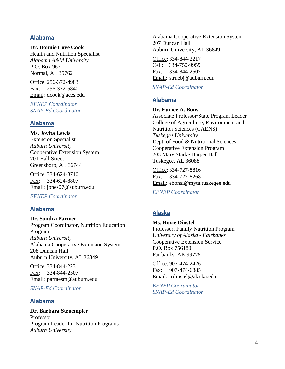### **Alabama**

#### **Dr. Donnie Love Cook**

Health and Nutrition Specialist *Alabama A&M University* P.O. Box 967 Normal, AL 35762

Office: 256-372-4983 Fax: 256-372-5840 Email: dcook@aces.edu

*EFNEP Coordinator SNAP-Ed Coordinator*

#### **Alabama**

**Ms. Jovita Lewis** Extension Specialist *Auburn University* Cooperative Extension System 701 Hall Street Greensboro, AL 36744

Office: 334-624-8710 Fax: 334-624-8807 Email: jones07@auburn.edu

*EFNEP Coordinator*

### **Alabama**

**Dr. Sondra Parmer** Program Coordinator, Nutrition Education Program *Auburn University* Alabama Cooperative Extension System 208 Duncan Hall Auburn University, AL 36849

Office: 334-844-2231 Fax: 334-844-2507 Email: parmesm@auburn.edu

*SNAP-Ed Coordinator*

### **Alabama**

**Dr. Barbara Struempler** Professor Program Leader for Nutrition Programs *Auburn University*

Alabama Cooperative Extension System 207 Duncan Hall Auburn University, AL 36849

Office: 334-844-2217 Cell: 334-750-9959 Fax: 334-844-2507 Email: struebj@auburn.edu

*SNAP-Ed Coordinator*

### **Alabama**

#### **Dr. Eunice A. Bonsi**

Associate Professor/State Program Leader College of Agriculture, Environment and Nutrition Sciences (CAENS) *Tuskegee University* Dept. of Food & Nutritional Sciences Cooperative Extension Program 203 Mary Starke Harper Hall Tuskegee, AL 36088

Office: 334-727-8816 Fax: 334-727-8268 Email: ebonsi@mytu.tuskegee.edu

*EFNEP Coordinator*

## **Alaska**

**Ms. Roxie Dinstel** Professor, Family Nutrition Program *University of Alaska - Fairbanks* Cooperative Extension Service P.O. Box 756180 Fairbanks, AK 99775

Office: 907-474-2426 Fax: 907-474-6885 Email: rrdinstel@alaska.edu

*EFNEP Coordinator SNAP-Ed Coordinator*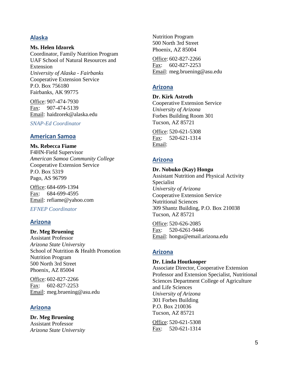## **Alaska**

**Ms. Helen Idzorek**

Coordinator, Family Nutrition Program UAF School of Natural Resources and Extension *University of Alaska - Fairbanks* Cooperative Extension Service P.O. Box 756180 Fairbanks, AK 99775

Office: 907-474-7930 Fax: 907-474-5139 Email: haidzorek@alaska.edu

*SNAP-Ed Coordinator*

### **American Samoa**

**Ms. Rebecca Fiame** F4HN-Field Supervisor *American Samoa Community College* Cooperative Extension Service P.O. Box 5319 Pago, AS 96799

Office: 684-699-1394 Fax: 684-699-4595 Email: refiame@yahoo.com

*EFNEP Coordinator*

## **Arizona**

### **Dr. Meg Bruening**

Assistant Professor *Arizona State University* School of Nutrition & Health Promotion Nutrition Program 500 North 3rd Street Phoenix, AZ 85004

Office: 602-827-2266 Fax: 602-827-2253 Email: meg.bruening@asu.edu

## **Arizona**

**Dr. Meg Bruening** Assistant Professor *Arizona State University* Nutrition Program 500 North 3rd Street Phoenix, AZ 85004

Office: 602-827-2266 Fax: 602-827-2253 Email: meg.bruening@asu.edu

## **Arizona**

**Dr. Kirk Astroth** Cooperative Extension Service *University of Arizona* Forbes Building Room 301 Tucson, AZ 85721

Office: 520-621-5308 Fax: 520-621-1314 Email:

## **Arizona**

**Dr. Nobuko (Kay) Hongu** Assistant Nutrition and Physical Activity Specialist *University of Arizona* Cooperative Extension Service Nutritional Sciences 309 Shantz Building, P.O. Box 210038 Tucson, AZ 85721

Office: 520-626-2085 Fax: 520-6261-9446 Email: hongu@email.arizona.edu

# **Arizona**

### **Dr. Linda Houtkooper**

Associate Director, Cooperative Extension Professor and Extension Specialist, Nutritional Sciences Department College of Agriculture and Life Sciences *University of Arizona* 301 Forbes Building P.O. Box 210036 Tucson, AZ 85721

Office: 520-621-5308 Fax: 520-621-1314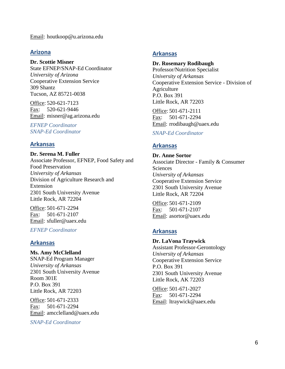Email: houtkoop@u.arizona.edu

#### **Arizona**

#### **Dr. Scottie Misner**

State EFNEP/SNAP-Ed Coordinator *University of Arizona* Cooperative Extension Service 309 Shantz Tucson, AZ 85721-0038

Office: 520-621-7123 Fax: 520-621-9446 Email: misner@ag.arizona.edu

*EFNEP Coordinator SNAP-Ed Coordinator*

### **Arkansas**

**Dr. Serena M. Fuller** Associate Professor, EFNEP, Food Safety and Food Preservation *University of Arkansas* Division of Agriculture Research and Extension 2301 South University Avenue Little Rock, AR 72204

Office: 501-671-2294 Fax: 501-671-2107 Email: sfuller@uaex.edu

*EFNEP Coordinator*

### **Arkansas**

#### **Ms. Amy McClelland** SNAP-Ed Program Manager *University of Arkansas* 2301 South University Avenue Room 301E P.O. Box 391 Little Rock, AR 72203

Office: 501-671-2333 Fax: 501-671-2294 Email: amcclelland@uaex.edu

*SNAP-Ed Coordinator*

### **Arkansas**

#### **Dr. Rosemary Rodibaugh**

Professor/Nutrition Specialist *University of Arkansas* Cooperative Extension Service - Division of Agriculture P.O. Box 391 Little Rock, AR 72203

Office: 501-671-2111 Fax: 501-671-2294 Email: rrodibaugh@uaex.edu

#### *SNAP-Ed Coordinator*

### **Arkansas**

**Dr. Anne Sortor** Associate Director - Family & Consumer **Sciences** *University of Arkansas* Cooperative Extension Service 2301 South University Avenue Little Rock, AR 72204

Office: 501-671-2109 Fax: 501-671-2107 Email: asortor@uaex.edu

## **Arkansas**

### **Dr. LaVona Traywick** Assistant Professor-Gerontology

*University of Arkansas* Cooperative Extension Service P.O. Box 391 2301 South University Avenue Little Rock, AK 72203

Office: 501-671-2027 Fax: 501-671-2294 Email: ltraywick@uaex.edu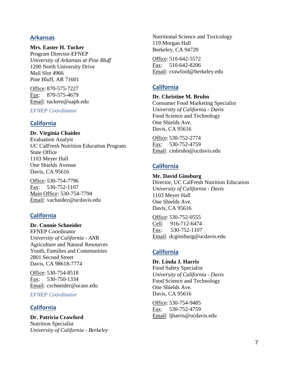## **Arkansas**

**Mrs. Easter H. Tucker** Program Director-EFNEP

*University of Arkansas at Pine Bluff* 1200 North University Drive Mail Slot 4966 Pine Bluff, AR 71601

Office: 870-575-7227 Fax: 870-575-4679 Email: tuckere@uapb.edu

*EFNEP Coordinator*

## **California**

**Dr. Virginia Chaidez** Evaluation Analyst UC CalFresh Nutrition Education Program State Office 1103 Meyer Hall One Shields Avenue Davis, CA 95616

Office: 530-754-7796 Fax: 530-752-1107 Main Office: 530-754-7794 Email: vachaidez@ucdavis.edu

# **California**

**Dr. Connie Schneider**

EFNEP Coordinator *University of California - ANR* Agriculture and Natural Resources Youth, Families and Communities 2801 Second Street Davis, CA 98618-7774

Office: 530-754-8518 Fax: 530-750-1334 Email: cschneider@ucanr.edu

*EFNEP Coordinator*

## **California**

**Dr. Patricia Crawford** Nutrition Specialist *University of California - Berkeley* Nutritional Science and Toxicology 119 Morgan Hall Berkeley, CA 94720

Office: 510-642-5572 Fax: 510-642-8206 Email: crawford@berkeley.edu

# **California**

### **Dr. Christine M. Bruhn**

Consumer Food Marketing Specialist *University of California - Davis* Food Science and Technology One Shields Ave. Davis, CA 95616

Office: 530-752-2774 Fax: 530-752-4759 Email: cmbruhn@ucdavis.edu

# **California**

**Mr. David Ginsburg** Director, UC CalFresh Nutrition Education *University of California - Davis* 1103 Meyer Hall One Shields Ave. Davis, CA 95616

Office: 530-752-0555 Cell: 916-712-6474 Fax: 530-752-1107 Email: dcginsburg@ucdavis.edu

# **California**

**Dr. Linda J. Harris** Food Safety Specialist *University of California - Davis* Food Science and Technology One Shields Ave. Davis, CA 95616

Office: 530-754-9485 Fax: 530-752-4759 Email: ljharris@ucdavis.edu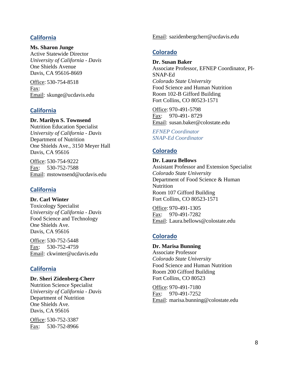## **California**

#### **Ms. Sharon Junge**

Active Statewide Director *University of California - Davis* One Shields Avenue Davis, CA 95616-8669

Office: 530-754-8518 Fax: Email: skunge@ucdavis.edu

## **California**

### **Dr. Marilyn S. Townsend**

Nutrition Education Specialist *University of California - Davis* Department of Nutrition One Shields Ave., 3150 Meyer Hall Davis, CA 95616

Office: 530-754-9222 Fax: 530-752-7588 Email: mstownsend@ucdavis.edu

## **California**

**Dr. Carl Winter** Toxicology Specialist *University of California - Davis* Food Science and Technology One Shields Ave. Davis, CA 95616

Office: 530-752-5448 Fax: 530-752-4759 Email: ckwinter@ucdavis.edu

## **California**

#### **Dr. Sheri Zidenberg-Cherr**

Nutrition Science Specialist *University of California - Davis* Department of Nutrition One Shields Ave. Davis, CA 95616

Office: 530-752-3387 Fax: 530-752-8966 Email: sazidenbergcherr@ucdavis.edu

## **Colorado**

#### **Dr. Susan Baker**

Associate Professor, EFNEP Coordinator, PI-SNAP-Ed *Colorado State University* Food Science and Human Nutrition Room 102-B Gifford Building Fort Collins, CO 80523-1571

Office: 970-491-5798 Fax: 970-491- 8729 Email: susan.baker@colostate.edu

*EFNEP Coordinator SNAP-Ed Coordinator*

## **Colorado**

**Dr. Laura Bellows** Assistant Professor and Extension Specialist *Colorado State University* Department of Food Science & Human Nutrition Room 107 Gifford Building Fort Collins, CO 80523-1571

Office: 970-491-1305 Fax: 970-491-7282 Email: Laura.bellows@colostate.edu

# **Colorado**

**Dr. Marisa Bunning** Associate Professor *Colorado State University* Food Science and Human Nutrition Room 200 Gifford Building Fort Collins, CO 80523

Office: 970-491-7180 Fax: 970-491-7252 Email: marisa.bunning@colostate.edu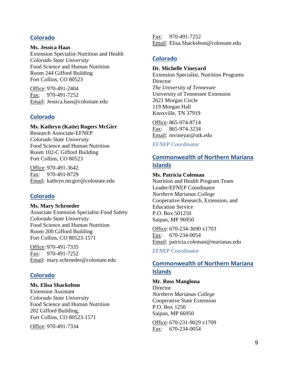## **Colorado**

**Ms. Jessica Haas** Extension Specialist-Nutrition and Health *Colorado State University* Food Science and Human Nutrition Room 244 Gifford Building Fort Collins, CO 80523

Office: 970-491-2404 Fax: 970-491-7252 Email: Jessica.hass@colostate.edu

## **Colorado**

#### **Ms. Kathryn (Katie) Rogers McGirr**

Research Associate-EFNEP *Colorado State University* Food Science and Human Nutrition Room 102-C Gifford Building Fort Collins, CO 80523

Office: 970-491-3642 Fax: 970-491-8729 Email: kathryn.mcgirr@colostate.edu

## **Colorado**

**Ms. Mary Schroeder** Associate Extension Specialist-Food Safety *Colorado State University* Food Science and Human Nutrition Room 200 Gifford Building Fort Collins, CO 80523-1571

Office: 970-491-7335 Fax: 970-491-7252 Email: mary.schroeder@colostate.edu

## **Colorado**

#### **Ms. Elisa Shackelton**

Extension Assistant *Colorado State University* Food Science and Human Nutrition 202 Gifford Building, Fort Collins, CO 80523-1571

Office: 970-491-7334

Fax: 970-491-7252 Email: Elisa.Shackelton@colostate.edu

## **Colorado**

### **Dr. Michelle Vineyard**

Extension Specialist, Nutrition Programs **Director** *The University of Tennessee* University of Tennessee Extension 2621 Morgan Circle 119 Morgan Hall Knoxville, TN 37919

Office: 865-974-8714 Fax: 865-974-3234 Email: mvineyar@utk.edu

*EFNEP Coordinator*

## **Commonwealth of Northern Mariana Islands**

#### **Ms. Patricia Coleman**

Nutrition and Health Program Team Leader/EFNEP Coordinator *Northern Marianas College* Cooperative Research, Extension, and Education Service P.O. Box 501250 Saipan, MP 96950

Office: 670-234-3690 x1703 Fax: 670-234-0054 Email: patricia.coleman@marianas.edu

*EFNEP Coordinator*

# **Commonwealth of Northern Mariana Islands**

#### **Mr. Ross Manglona**

**Director** *Northern Marianas College* Cooperative State Extension P.O. Box 1250 Saipan, MP 66950

Office: 670-231-9029 x1709 Fax: 670-234-0054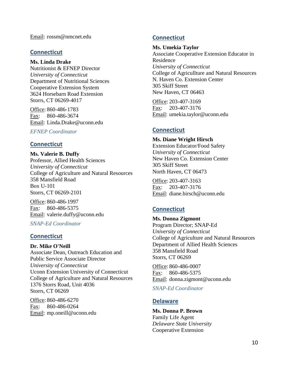Email: rossm@nmcnet.edu

### **Connecticut**

**Ms. Linda Drake**

Nutritionist & EFNEP Director *University of Connecticut* Department of Nutritional Sciences Cooperative Extension System 3624 Horsebarn Road Extension Storrs, CT 06269-4017

Office: 860-486-1783 Fax: 860-486-3674 Email: Linda.Drake@uconn.edu

*EFNEP Coordinator*

## **Connecticut**

**Ms. Valerie B. Duffy** Professor, Allied Health Sciences *University of Connecticut* College of Agriculture and Natural Resources 358 Mansfield Road Box U-101 Storrs, CT 06269-2101

Office: 860-486-1997 Fax: 860-486-5375 Email: valerie.duffy@uconn.edu

### *SNAP-Ed Coordinator*

## **Connecticut**

### **Dr. Mike O'Neill**

Associate Dean, Outreach Education and Public Service Associate Director *University of Connecticut* Uconn Extension University of Connecticut College of Agriculture and Natural Resources 1376 Storrs Road, Unit 4036 Storrs, CT 06269

Office: 860-486-6270 Fax: 860-486-0264 Email: mp.oneill@uconn.edu

## **Connecticut**

### **Ms. Umekia Taylor**

Associate Cooperative Extension Educator in Residence *University of Connecticut* College of Agricullture and Natural Resources N. Haven Co. Extension Center 305 Skiff Street New Haven, CT 06463

Office: 203-407-3169 Fax: 203-407-3176 Email: umekia.taylor@uconn.edu

## **Connecticut**

#### **Ms. Diane Wright Hirsch**

Extension Educator/Food Safety *University of Connecticut* New Haven Co. Extension Center 305 Skiff Street North Haven, CT 06473

Office: 203-407-3163 Fax: 203-407-3176 Email: diane.hirsch@uconn.edu

# **Connecticut**

**Ms. Donna Zigmont** Program Director; SNAP-Ed *University of Connecticut* College of Agriculture and Natural Resources Department of Allied Health Sciences 358 Mansfield Road Storrs, CT 06269

Office: 860-486-0007 Fax: 860-486-5375 Email: donna.zigmont@uconn.edu

*SNAP-Ed Coordinator*

## **Delaware**

**Ms. Donna P. Brown** Family Life Agent *Delaware State University* Cooperative Extension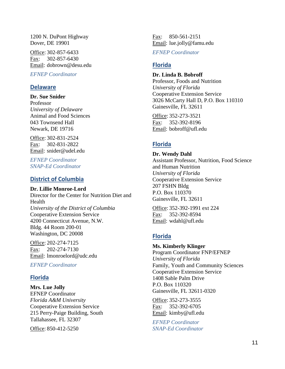1200 N. DuPont Highway Dover, DE 19901

Office: 302-857-6433 Fax: 302-857-6430 Email: dobrown@desu.edu

*EFNEP Coordinator*

## **Delaware**

#### **Dr. Sue Snider**

Professor *University of Delaware* Animal and Food Sciences 043 Townsend Hall Newark, DE 19716

Office: 302-831-2524 Fax: 302-831-2822 Email: snider@udel.edu

*EFNEP Coordinator SNAP-Ed Coordinator*

## **District of Columbia**

**Dr. Lillie Monroe-Lord**

Director for the Center for Nutrition Diet and Health *University of the District of Columbia* Cooperative Extension Service 4200 Connecticut Avenue, N.W. Bldg. 44 Room 200-01 Washington, DC 20008

Office: 202-274-7125 Fax: 202-274-7130 Email: lmonroelord@udc.edu

*EFNEP Coordinator*

# **Florida**

## **Mrs. Lue Jolly**

EFNEP Coordinator *Florida A&M University* Cooperative Extension Service 215 Perry-Paige Building, South Tallahassee, FL 32307

Office: 850-412-5250

Fax: 850-561-2151 Email: lue.jolly@famu.edu

*EFNEP Coordinator*

# **Florida**

#### **Dr. Linda B. Bobroff**

Professor, Foods and Nutrition *University of Florida* Cooperative Extension Service 3026 McCarty Hall D, P.O. Box 110310 Gainesville, FL 32611

Office: 352-273-3521 Fax: 352-392-8196 Email: bobroff@ufl.edu

# **Florida**

**Dr. Wendy Dahl** Assistant Professor, Nutrition, Food Science and Human Nutrition *University of Florida* Cooperative Extension Service 207 FSHN Bldg P.O. Box 110370 Gainesville, FL 32611

Office: 352-392-1991 ext 224 Fax: 352-392-8594 Email: wdahl@ufl.edu

# **Florida**

**Ms. Kimberly Klinger** Program Coordinator FNP/EFNEP *University of Florida* Family, Youth and Community Sciences Cooperative Extension Service 1408 Sable Palm Drive P.O. Box 110320 Gainesville, FL 32611-0320

Office: 352-273-3555 Fax: 352-392-6705 Email: kimby@ufl.edu

*EFNEP Coordinator SNAP-Ed Coordinator*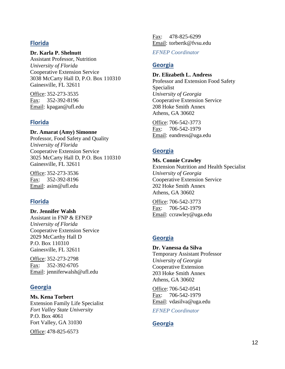## **Florida**

#### **Dr. Karla P. Shelnutt**

Assistant Professor, Nutrition *University of Florida* Cooperative Extension Service 3038 McCarty Hall D, P.O. Box 110310 Gainesville, FL 32611

Office: 352-273-3535 Fax: 352-392-8196 Email: kpagan@ufl.edu

## **Florida**

**Dr. Amarat (Amy) Simonne** Professor, Food Safety and Quality *University of Florida* Cooperative Extension Service 3025 McCarty Hall D, P.O. Box 110310 Gainesville, FL 32611

Office: 352-273-3536 Fax: 352-392-8196 Email: asim@ufl.edu

# **Florida**

**Dr. Jennifer Walsh** Assistant in FNP & EFNEP *University of Florida* Cooperative Extension Service 2029 McCarthy Hall D P.O. Box 110310 Gainesville, FL 32611

Office: 352-273-2798 Fax: 352-392-6705 Email: jenniferwalsh@ufl.edu

## **Georgia**

**Ms. Kena Torbert** Extension Family Life Specialist *Fort Valley State University* P.O. Box 4061 Fort Valley, GA 31030

Office: 478-825-6573

Fax: 478-825-6299 Email: torbertk@fvsu.edu

*EFNEP Coordinator*

## **Georgia**

#### **Dr. Elizabeth L. Andress**

Professor and Extension Food Safety Specialist *University of Georgia* Cooperative Extension Service 208 Hoke Smith Annex Athens, GA 30602

Office: 706-542-3773 Fax: 706-542-1979 Email: eandress@uga.edu

# **Georgia**

**Ms. Connie Crawley** Extension Nutrition and Health Specialist *University of Georgia* Cooperative Extension Service 202 Hoke Smith Annex Athens, GA 30602

Office: 706-542-3773 Fax: 706-542-1979 Email: ccrawley@uga.edu

# **Georgia**

**Dr. Vanessa da Silva** Temporary Assistant Professor *University of Georgia* Cooperative Extension 203 Hoke Smith Annex Athens, GA 30602

Office: 706-542-0541 Fax: 706-542-1979 Email: vdasilva@uga.edu

*EFNEP Coordinator*

# **Georgia**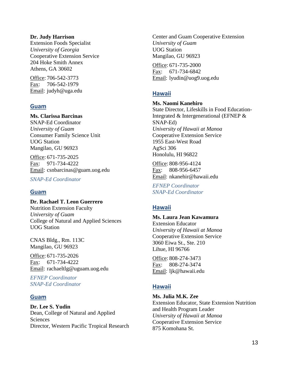#### **Dr. Judy Harrison**

Extension Foods Specialist *University of Georgia* Cooperative Extension Service 204 Hoke Smith Annex Athens, GA 30602

Office: 706-542-3773 Fax: 706-542-1979 Email: judyh@uga.edu

### **Guam**

### **Ms. Clarissa Barcinas**

SNAP-Ed Coordinator *University of Guam* Consumer Family Science Unit UOG Station Mangilao, GU 96923

Office: 671-735-2025 Fax: 971-734-4222 Email: csnbarcinas@guam.uog.edu

*SNAP-Ed Coordinator*

### **Guam**

**Dr. Rachael T. Leon Guerrero** Nutrition Extension Faculty *University of Guam* College of Natural and Applied Sciences UOG Station

CNAS Bldg., Rm. 113C Mangilao, GU 96923

Office: 671-735-2026 Fax: 671-734-4222 Email: rachaeltlg@uguam.uog.edu

*EFNEP Coordinator SNAP-Ed Coordinator*

### **Guam**

**Dr. Lee S. Yudin** Dean, College of Natural and Applied **Sciences** Director, Western Pacific Tropical Research Center and Guam Cooperative Extension *University of Guam* UOG Station Mangilao, GU 96923

Office: 671-735-2000 Fax: 671-734-6842 Email: lyudin@uog9.uog.edu

## **Hawaii**

## **Ms. Naomi Kanehiro**

State Director, Lifeskills in Food Education-Integrated & Intergenerational (EFNEP & SNAP-Ed) *University of Hawaii at Manoa* Cooperative Extension Service 1955 East-West Road AgSci 306 Honolulu, HI 96822

Office: 808-956-4124 Fax: 808-956-6457 Email: nkanehir@hawaii.edu

*EFNEP Coordinator SNAP-Ed Coordinator*

## **Hawaii**

### **Ms. Laura Jean Kawamura**

Extension Educator *University of Hawaii at Manoa* Cooperative Extension Service 3060 Eiwa St., Ste. 210 Lihue, HI 96766

Office: 808-274-3473 Fax: 808-274-3474 Email: ljk@hawaii.edu

## **Hawaii**

**Ms. Julia M.K. Zee**

Extension Educator, State Extension Nutrition and Health Program Leader *University of Hawaii at Manoa* Cooperative Extension Service 875 Komohana St.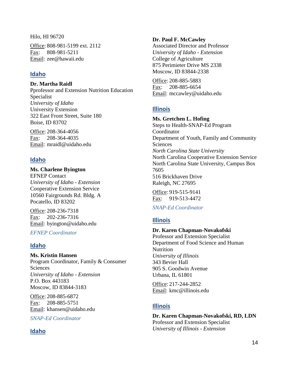Hilo, HI 96720

Office: 808-981-5199 ext. 2112 Fax: 808-981-5211 Email: zee@hawaii.edu

# **Idaho**

**Dr. Martha Raidl**

Pprofessor and Extension Nutrition Education Specialist *University of Idaho* University Extension 322 East Front Street, Suite 180 Boise, ID 83702

Office: 208-364-4056 Fax: 208-364-4035 Email: mraidl@uidaho.edu

# **Idaho**

**Ms. Charlene Byington** EFNEP Contact *University of Idaho - Extension* Cooperative Extension Service 10560 Fairgrounds Rd. Bldg. A Pocatello, ID 83202

Office: 208-236-7318 Fax: 202-236-7316 Email: byington@uidaho.edu

*EFNEP Coordinator*

# **Idaho**

**Ms. Kristin Hansen** Program Coordinator, Family & Consumer **Sciences** 

*University of Idaho - Extension* P.O. Box 443183 Moscow, ID 83844-3183

Office: 208-885-6872 Fax: 208-885-5751 Email: khansen@uidaho.edu

*SNAP-Ed Coordinator*

## **Idaho**

## **Dr. Paul F. McCawley**

Associated Director and Professor *University of Idaho - Extension* College of Agriculture 875 Perimieter Drive MS 2338 Moscow, ID 83844-2338

Office: 208-885-5883 Fax: 208-885-6654 Email: mccawley@uidaho.edu

# **Illinois**

**Ms. Gretchen L. Hofing** Steps to Health-SNAP-Ed Program Coordinator Department of Youth, Family and Community **Sciences** *North Carolina State University* North Carolina Cooperative Extension Service North Carolina State University, Campus Box 7605 516 Brickhaven Drive Raleigh, NC 27695

Office: 919-515-9141 Fax: 919-513-4472

## *SNAP-Ed Coordinator*

# **Illinois**

### **Dr. Karen Chapman-Novakofski**

Professor and Extension Specialist Department of Food Science and Human **Nutrition** *University of Illinois* 343 Bevier Hall 905 S. Goodwin Avenue Urbana, IL 61801

Office: 217-244-2852 Email: kmc@illinois.edu

# **Illinois**

**Dr. Karen Chapman-Novakofski, RD, LDN** Professor and Extension Specialist *University of Illinois - Extension*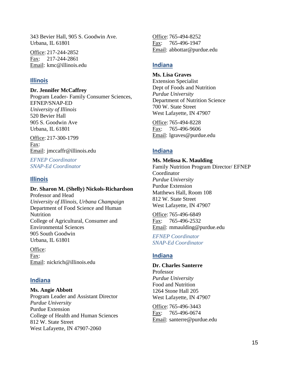343 Bevier Hall, 905 S. Goodwin Ave. Urbana, IL 61801

Office: 217-244-2852 Fax: 217-244-2861 Email: kmc@illinois.edu

#### **Illinois**

**Dr. Jennifer McCaffrey**

Program Leader- Family Consumer Sciences, EFNEP/SNAP-ED *University of Illinois* 520 Bevier Hall 905 S. Goodwin Ave Urbana, IL 61801

Office: 217-300-1799 Fax: Email: jmccaffr@illinois.edu

*EFNEP Coordinator SNAP-Ed Coordinator*

### **Illinois**

**Dr. Sharon M. (Shelly) Nickols-Richardson**

Professor and Head *University of Illinois, Urbana Champaign* Department of Food Science and Human Nutrition College of Agricultural, Consumer and Environmental Sciences 905 South Goodwin Urbana, IL 61801

Office: Fax: Email: nickrich@illinois.edu

### **Indiana**

**Ms. Angie Abbott** Program Leader and Assistant Director *Purdue University* Purdue Extension College of Health and Human Sciences 812 W. State Street West Lafayette, IN 47907-2060

Office: 765-494-8252 Fax: 765-496-1947 Email: abbottar@purdue.edu

### **Indiana**

**Ms. Lisa Graves** Extension Specialist Dept of Foods and Nutrition *Purdue University* Department of Nutrition Science 700 W. State Street West Lafayette, IN 47907

Office: 765-494-8228 Fax: 765-496-9606 Email: lgraves@purdue.edu

### **Indiana**

**Ms. Melissa K. Maulding**

Family Nutrition Program Director/ EFNEP Coordinator *Purdue University* Purdue Extension Matthews Hall, Room 108 812 W. State Street West Lafayette, IN 47907

Office: 765-496-6849 Fax: 765-496-2532 Email: mmaulding@purdue.edu

*EFNEP Coordinator SNAP-Ed Coordinator*

## **Indiana**

#### **Dr. Charles Santerre**

Professor *Purdue University* Food and Nutrition 1264 Stone Hall 205 West Lafayette, IN 47907

Office: 765-496-3443 Fax: 765-496-0674 Email: santerre@purdue.edu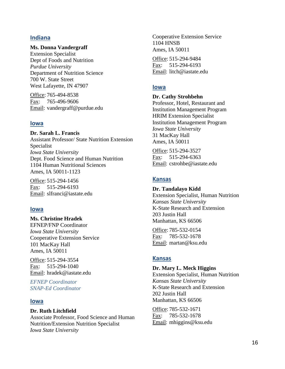### **Indiana**

#### **Ms. Donna Vandergraff**

Extension Specialist Dept of Foods and Nutrition *Purdue University* Department of Nutrition Science 700 W. State Street West Lafayette, IN 47907

Office: 765-494-8538 Fax: 765-496-9606 Email: vandergraff@purdue.edu

#### **Iowa**

**Dr. Sarah L. Francis** Assistant Professor/ State Nutrition Extension Specialist *Iowa State University* Dept. Food Science and Human Nutrition 1104 Human Nutritional Sciences Ames, IA 50011-1123

Office: 515-294-1456 Fax: 515-294-6193 Email: slfranci@iastate.edu

#### **Iowa**

**Ms. Christine Hradek** EFNEP/FNP Coordinator *Iowa State University* Cooperative Extension Service 101 MacKay Hall Ames, IA 50011

Office: 515-294-3554 Fax: 515-294-1040 Email: hradek@iastate.edu

*EFNEP Coordinator SNAP-Ed Coordinator*

#### **Iowa**

#### **Dr. Ruth Litchfield**

Associate Professor, Food Science and Human Nutrition/Extension Nutrition Specialist *Iowa State University*

Cooperative Extension Service 1104 HNSB Ames, IA 50011

Office: 515-294-9484 Fax: 515-294-6193 Email: litch@iastate.edu

#### **Iowa**

#### **Dr. Cathy Strohbehn**

Professor, Hotel, Restaurant and Institution Management Program HRIM Extension Specialist Institution Management Program *Iowa State University* 31 MacKay Hall Ames, IA 50011

Office: 515-294-3527 Fax: 515-294-6363 Email: cstrohbe@iastate.edu

### **Kansas**

#### **Dr. Tandalayo Kidd**

Extension Specialist, Human Nutrition *Kansas State University* K-State Research and Extension 203 Justin Hall Manhattan, KS 66506

Office: 785-532-0154 Fax: 785-532-1678 Email: martan@ksu.edu

### **Kansas**

#### **Dr. Mary L. Meck Higgins**

Extension Specialist, Human Nutrition *Kansas State University* K-State Research and Extension 202 Justin Hall Manhattan, KS 66506

Office: 785-532-1671 Fax: 785-532-1678 Email: mhiggins@ksu.edu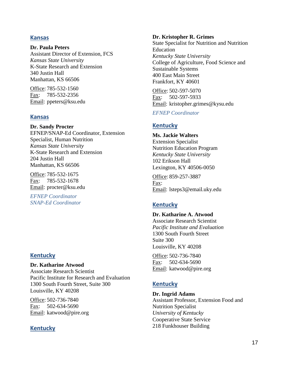### **Kansas**

**Dr. Paula Peters** Assistant Director of Extension, FCS *Kansas State University* K-State Research and Extension 340 Justin Hall Manhattan, KS 66506

Office: 785-532-1560 Fax: 785-532-2356 Email: ppeters@ksu.edu

## **Kansas**

**Dr. Sandy Procter** EFNEP/SNAP-Ed Coordinator, Extension Specialist, Human Nutrition *Kansas State University* K-State Research and Extension 204 Justin Hall Manhattan, KS 66506

Office: 785-532-1675 Fax: 785-532-1678 Email: procter@ksu.edu

*EFNEP Coordinator SNAP-Ed Coordinator*

## **Kentucky**

**Dr. Katharine Atwood** Associate Research Scientist Pacific Institute for Research and Evaluation 1300 South Fourth Street, Suite 300 Louisville, KY 40208

Office: 502-736-7840 Fax: 502-634-5690 Email: katwood@pire.org

## **Kentucky**

#### **Dr. Kristopher R. Grimes**

State Specialist for Nutrition and Nutrition **Education** *Kentucky State University* College of Agriculture, Food Science and Sustainable Systems 400 East Main Street Frankfort, KY 40601

Office: 502-597-5070 Fax: 502-597-5933 Email: kristopher.grimes@kysu.edu

*EFNEP Coordinator*

## **Kentucky**

**Ms. Jackie Walters** Extension Specialist Nutrition Education Program *Kentucky State University* 102 Erikson Hall Lexington, KY 40506-0050

Office: 859-257-3887 Fax: Email: lsteps3@email.uky.edu

# **Kentucky**

**Dr. Katharine A. Atwood** Associate Research Scientist *Pacific Institute and Evaluation* 1300 South Fourth Street Suite 300 Louisville, KY 40208

Office: 502-736-7840 Fax: 502-634-5690 Email: katwood@pire.org

## **Kentucky**

**Dr. Ingrid Adams** Assistant Professor, Extension Food and Nutrition Specialist *University of Kentucky* Cooperative State Service 218 Funkhouser Building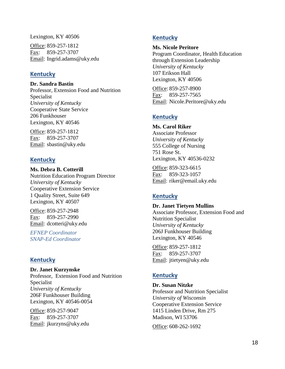Lexington, KY 40506

Office: 859-257-1812 Fax: 859-257-3707 Email: Ingrid.adams@uky.edu

## **Kentucky**

**Dr. Sandra Bastin** Professor, Extension Food and Nutrition Specialist *University of Kentucky* Cooperative State Service 206 Funkhouser Lexington, KY 40546

Office: 859-257-1812 Fax: 859-257-3707 Email: sbastin@uky.edu

## **Kentucky**

**Ms. Debra B. Cotterill** Nutrition Education Program Director *University of Kentucky* Cooperative Extension Service 1 Quality Street, Suite 649 Lexington, KY 40507

Office: 859-257-2948 Fax: 859-257-2990 Email: dcotteri@uky.edu

*EFNEP Coordinator SNAP-Ed Coordinator*

## **Kentucky**

**Dr. Janet Kurzynske** Professor, Extension Food and Nutrition Specialist *University of Kentucky* 206F Funkhouser Building Lexington, KY 40546-0054

Office: 859-257-9047 Fax: 859-257-3707 Email: jkurzyns@uky.edu

## **Kentucky**

#### **Ms. Nicole Peritore**

Program Coordinator, Health Education through Extension Leadership *University of Kentucky* 107 Erikson Hall Lexington, KY 40506

Office: 859-257-8900 Fax: 859-257-7565 Email: Nicole.Peritore@uky.edu

## **Kentucky**

**Ms. Carol Riker** Associate Professor *University of Kentucky* 555 College of Nursing 751 Rose St. Lexington, KY 40536-0232

Office: 859-323-6615 Fax: 859-323-1057 Email: riker@email.uky.edu

## **Kentucky**

**Dr. Janet Tietyen Mullins**

Associate Professor, Extension Food and Nutrition Specialist *University of Kentucky* 206J Funkhouser Building Lexington, KY 40546

Office: 859-257-1812 Fax: 859-257-3707 Email: jtietyen@uky.edu

## **Kentucky**

**Dr. Susan Nitzke** Professor and Nutrition Specialist *University of Wisconsin* Cooperative Extension Service 1415 Linden Drive, Rm 275 Madison, WI 53706

Office: 608-262-1692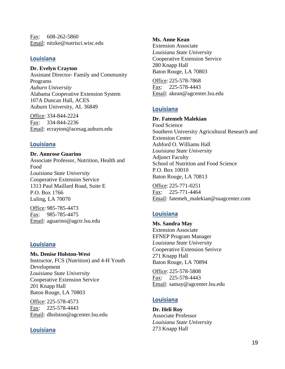Fax: 608-262-5860 Email: nitzke@nutrisci.wisc.edu

## **Louisiana**

#### **Dr. Evelyn Crayton**

Assistant Director- Family and Community Programs *Auburn University* Alabama Cooperative Extension System 107A Duncan Hall, ACES Auburn University, AL 36849

Office: 334-844-2224 Fax: 334-844-2236 Email: ecrayton@acesag.auburn.edu

## **Louisiana**

**Dr. Annrose Guarino** Associate Professor, Nutrition, Health and Food *Louisiana State University* Cooperative Extension Service 1313 Paul Maillard Road, Suite E P.O. Box 1766 Luling, LA 70070

Office: 985-785-4473 Fax: 985-785-4475 Email: aguarino@agctr.lsu.edu

## **Louisiana**

**Ms. Denise Holston-West** Instructor, FCS (Nutrition) and 4-H Youth Development *Louisiana State University* Cooperative Extension Service 201 Knapp Hall Baton Rouge, LA 70803

Office: 225-578-4573 Fax: 225-578-4443 Email: dholston@agcenter.lsu.edu

## **Louisiana**

**Ms. Anne Kean**

Extension Associate *Louisiana State University* Cooperative Extension Service 280 Knapp Hall Baton Rouge, LA 70803

Office: 225-578-7868 Fax: 225-578-4443 Email: akean@agcenter.lsu.edu

## **Louisiana**

### **Dr. Fatemeh Malekian**

Food Science Southern University Agricultural Research and Extension Center Ashford O. Williams Hall *Louisiana State University* Adjunct Faculty School of Nutrition and Food Science P.O. Box 10010 Baton Rouge, LA 70813

Office: 225-771-0251 Fax: 225-771-4464 Email: fatemeh\_malekian@suagcenter.com

## **Louisiana**

**Ms. Sandra May** Extension Associate EFNEP Program Manager *Louisiana State University* Cooperative Extension Serivce 271 Knapp Hall Baton Rouge, LA 70894

Office: 225-578-5808 Fax: 225-578-4443 Email: samay@agcenter.lsu.edu

## **Louisiana**

**Dr. Heli Roy** Associate Professor *Louisiana State University* 273 Knapp Hall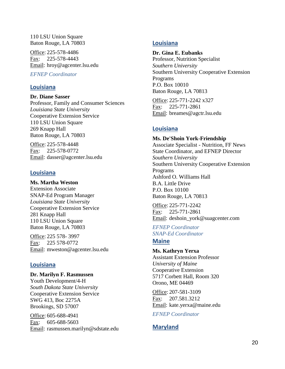110 LSU Union Square Baton Rouge, LA 70803

Office: 225-578-4486 Fax: 225-578-4443 Email: hroy@agcenter.lsu.edu

*EFNEP Coordinator*

### **Louisiana**

**Dr. Diane Sasser** Professor, Family and Consumer Sciences *Louisiana State University* Cooperative Extension Service 110 LSU Union Square 269 Knapp Hall Baton Rouge, LA 70803

Office: 225-578-4448 Fax: 225-578-0772 Email: dasser@agcenter.lsu.edu

### **Louisiana**

**Ms. Martha Weston** Extension Associate SNAP-Ed Program Manager *Louisiana State University* Cooperative Extension Service 281 Knapp Hall 110 LSU Union Square Baton Rouge, LA 70803

Office: 225 578- 3997 Fax: 225 578-0772 Email: mweston@agcenter.lsu.edu

## **Louisiana**

**Dr. Marilyn F. Rasmussen** Youth Development/4-H *South Dakota State University* Cooperative Extension Service SWG 413, Boc 2275A Brookings, SD 57007

Office: 605-688-4941 Fax: 605-688-5603 Email: rasmussen.marilyn@sdstate.edu

## **Louisiana**

#### **Dr. Gina E. Eubanks**

Professor, Nutrition Specialist *Southern University* Southern University Cooperative Extension Programs P.O. Box 10010 Baton Rouge, LA 70813

Office: 225-771-2242 x327 Fax: 225-771-2861 Email: breames@agctr.lsu.edu

## **Louisiana**

**Ms. De'Shoin York-Friendship** Associate Specialist - Nutrition, FF News State Coordinator, and EFNEP Director *Southern University* Southern University Cooperative Extension Programs Ashford O. Williams Hall B.A. Little Drive P.O. Box 10100 Baton Rouge, LA 70813

Office: 225-771-2242 Fax: 225-771-2861 Email: deshoin\_york@suagcenter.com

*EFNEP Coordinator SNAP-Ed Coordinator*

## **Maine**

**Ms. Kathryn Yerxa**

Assistant Extension Professor *University of Maine* Cooperative Extension 5717 Corbett Hall, Room 320 Orono, ME 04469

Office: 207-581-3109 Fax: 207.581.3212 Email: kate.yerxa@maine.edu

*EFNEP Coordinator*

# **Maryland**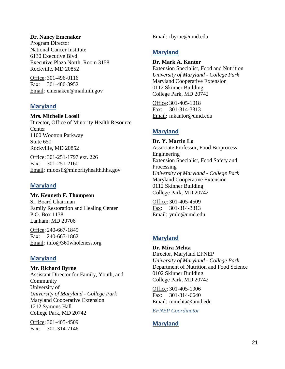#### **Dr. Nancy Emenaker**

Program Director National Cancer Institute 6130 Executive Blvd Executive Plaza North, Room 3158 Rockville, MD 20852

Office: 301-496-0116 Fax: 301-480-3952 Email: emenaken@mail.nih.gov

### **Maryland**

**Mrs. Michelle Loosli** Director, Office of Minority Health Resource **Center** 1100 Wootton Parkway Suite 650 Rockville, MD 20852

Office: 301-251-1797 ext. 226 Fax: 301-251-2160 Email: mloosli@minorityhealth.hhs.gov

### **Maryland**

**Mr. Kenneth F. Thompson** Sr. Board Chairman Family Restoration and Healing Center P.O. Box 1138 Lanham, MD 20706

Office: 240-667-1849 Fax: 240-667-1862 Email: info@360wholeness.org

## **Maryland**

**Mr. Richard Byrne** Assistant Director for Family, Youth, and Community University of *University of Maryland - College Park* Maryland Cooperative Extension 1212 Symons Hall College Park, MD 20742

Office: 301-405-4509 Fax: 301-314-7146 Email: rbyrne@umd.edu

## **Maryland**

#### **Dr. Mark A. Kantor**

Extension Specialist, Food and Nutrition *University of Maryland - College Park* Maryland Cooperative Extension 0112 Skinner Building College Park, MD 20742

Office: 301-405-1018 Fax: 301-314-3313 Email: mkantor@umd.edu

## **Maryland**

**Dr. Y. Martin Lo** Associate Professor, Food Bioprocess Engineering Extension Specialist, Food Safety and Processing *University of Maryland - College Park* Maryland Cooperative Extension 0112 Skinner Building College Park, MD 20742

Office: 301-405-4509 Fax: 301-314-3313 Email: ymlo@umd.edu

# **Maryland**

**Dr. Mira Mehta** Director, Maryland EFNEP *University of Maryland - College Park* Department of Nutrition and Food Science 0102 Skinner Building College Park, MD 20742

Office: 301-405-1006 Fax: 301-314-6640 Email: mmehta@umd.edu

*EFNEP Coordinator*

# **Maryland**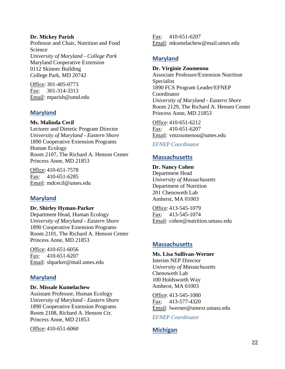#### **Dr. Mickey Parish**

Professor and Chair, Nutrition and Food Science *University of Maryland - College Park* Maryland Cooperative Extension 0112 Skinner Building College Park, MD 20742

Office: 301-405-0773 Fax: 301-314-3313 Email: mparish@umd.edu

### **Maryland**

**Ms. Malinda Cecil**

Lecturer and Dietetic Program Director *University of Maryland - Eastern Shore* 1890 Cooperative Extension Programs Human Ecology Room 2107, The Richard A. Henson Center Princess Anne, MD 21853

Office: 410-651-7578 Fax: 410-651-6285 Email: mdcecil@umes.edu

## **Maryland**

**Dr. Shirley Hyman-Parker** Department Head, Human Ecology *University of Maryland - Eastern Shore* 1890 Cooperative Extension Programs

Room 2101, The Richard A. Henson Center Princess Anne, MD 21853

Office: 410-651-6056 Fax: 410-651-6207 Email: shparker@mail.umes.edu

## **Maryland**

#### **Dr. Missale Kumelachew**

Assistant Professor, Human Ecology *University of Maryland - Eastern Shore* 1890 Cooperative Extension Programs Room 2108, Richard A. Henson Ctr. Princess Anne, MD 21853

Office: 410-651-6060

Fax: 410-651-6207 Email: mkumelachew@mail.umes.edu

## **Maryland**

## **Dr. Virginie Zoumenou**

Associate Professor/Extension Nutrition Specialist 1890 FCS Program Leader/EFNEP Coordinator *University of Maryland - Eastern Shore* Room 2129, The Richard A. Hensen Center Princess Anne, MD 21853

Office: 410-651-6212 Fax: 410-651-6207 Email: vmzoumenou@umes.edu

### *EFNEP Coordinator*

## **Massachusetts**

**Dr. Nancy Cohen** Department Head *University of Massachusetts* Department of Nutrition 201 Chenoweth Lab Amherst, MA 01003

Office: 413-545-1079 Fax: 413-545-1074 Email: cohen@nutrition.umass.edu

## **Massachusetts**

**Ms. Lisa Sullivan-Werner** Interim NEP Director *University of Massachusetts* Chenoweth Lab 100 Holdsworth Way Amherst, MA 01003

Office: 413-545-1080 Fax: 413-577-4320 Email: lwerner@umext.umass.edu

*EFNEP Coordinator*

## **Michigan**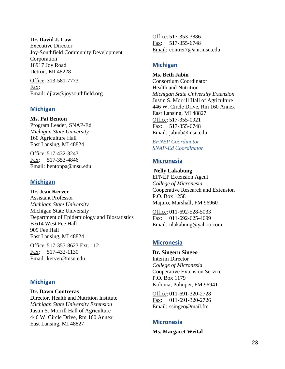#### **Dr. David J. Law**

Executive Director Joy-Southfield Community Development Corporation 18917 Joy Road Detroit, MI 48228

Office: 313-581-7773 Fax: Email: djlaw@joysouthfield.org

### **Michigan**

**Ms. Pat Benton** Program Leader, SNAP-Ed *Michigan State University* 160 Agriculture Hall East Lansing, MI 48824

Office: 517-432-3243 Fax: 517-353-4846 Email: bentonpa@msu.edu

## **Michigan**

**Dr. Jean Kerver** Assistant Professor *Michigan State University* Michigan State University Department of Epidemiology and Biostatistics B 614 West Fee Hall 909 Fee Hall East Lansing, MI 48824

Office: 517-353-8623 Ext. 112 Fax: 517-432-1130 Email: kerver@msu.edu

## **Michigan**

**Dr. Dawn Contreras** Director, Health and Nutrition Institute *Michigan State University Extension* Justin S. Morrill Hall of Agriculture 446 W. Circle Drive, Rm 160 Annex East Lansing, MI 48827

Office: 517-353-3886 Fax: 517-355-6748 Email: contrer7@anr.msu.edu

## **Michigan**

**Ms. Beth Jabin** Consortium Coordinator Health and Nutrition *Michigan State University Extension* Justin S. Morrill Hall of Agriculture 446 W. Circle Drive, Rm 160 Annex East Lansing, MI 48827 Office: 517-355-0921 Fax: 517-355-6748 Email: jabinb@msu.edu

*EFNEP Coordinator SNAP-Ed Coordinator*

## **Micronesia**

**Nelly Lakabung** EFNEP Extension Agent *College of Micronesia* Cooperative Research and Extension P.O. Box 1258 Majuro, Marshall, FM 96960

Office: 011-692-528-5033 Fax: 011-692-625-4699 Email: nlakabung@yahoo.com

## **Micronesia**

**Dr. Singeru Singeo** Interim Director *College of Micronesia* Cooperative Extension Service P.O. Box 1179 Kolonia, Pohnpei, FM 96941

Office: 011-691-320-2728 Fax: 011-691-320-2726 Email: ssingeo@mail.fm

## **Micronesia**

**Ms. Margaret Weital**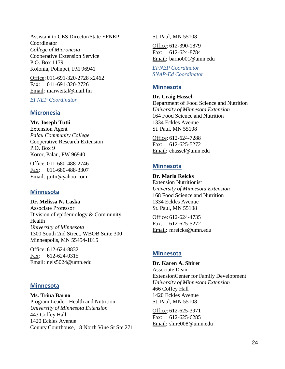Assistant to CES Director/State EFNEP Coordinator *College of Micronesia* Cooperative Extension Service P.O. Box 1179 Kolonia, Pohnpei, FM 96941

Office: 011-691-320-2728 x2462 Fax: 011-691-320-2726 Email: marweital@mail.fm

### *EFNEP Coordinator*

### **Micronesia**

**Mr. Joseph Tutii**

Extension Agent *Palau Community College* Cooperative Research Extension P.O. Box 9 Koror, Palau, PW 96940

Office: 011-680-488-2746 Fax: 011-680-488-3307 Email: jtutii@yahoo.com

### **Minnesota**

**Dr. Melissa N. Laska** Associate Professor Division of epidemiology & Community Health *University of Minnesota* 1300 South 2nd Street, WBOB Suite 300 Minneapolis, MN 55454-1015

Office: 612-624-8832 Fax: 612-624-0315 Email: nels5024@umn.edu

### **Minnesota**

**Ms. Trina Barno** Program Leader, Health and Nutrition *University of Minnesota Extension* 443 Coffey Hall 1420 Eckles Avenue County Courthouse, 18 North Vine St Ste 271 St. Paul, MN 55108

Office: 612-390-1879 Fax: 612-624-8784 Email: barno001@umn.edu

*EFNEP Coordinator SNAP-Ed Coordinator*

## **Minnesota**

**Dr. Craig Hassel**

Department of Food Science and Nutrition *University of Minnesota Extension* 164 Food Science and Nutrition 1334 Eckles Avenue St. Paul, MN 55108

Office: 612-624-7288 Fax: 612-625-5272 Email: chassel@umn.edu

### **Minnesota**

**Dr. Marla Reicks** Extension Nutritionist *University of Minnesota Extension* 168 Food Science and Nutrition 1334 Eckles Avenue St. Paul, MN 55108

Office: 612-624-4735 Fax: 612-625-5272 Email: mreicks@umn.edu

### **Minnesota**

**Dr. Karen A. Shirer**

Associate Dean ExtensionCenter for Family Development *University of Minnesota Extension* 466 Coffey Hall 1420 Eckles Avenue St. Paul, MN 55108

Office: 612-625-3971 Fax: 612-625-6285 Email: shire008@umn.edu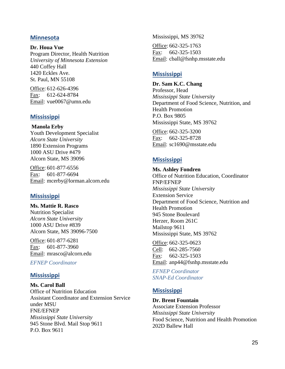### **Minnesota**

**Dr. Houa Vue** Program Director, Health Nutrition *University of Minnesota Extension* 440 Coffey Hall 1420 Eckles Ave. St. Paul, MN 55108

Office: 612-626-4396 Fax: 612-624-8784 Email: vue0067@umn.edu

## **Mississippi**

#### **Manola Erby**

Youth Development Specialist *Alcorn State University* 1890 Extension Programs 1000 ASU Drive #479 Alcorn State, MS 39096

Office: 601-877-6556 Fax: 601-877-6694 Email: mcerby@lorman.alcorn.edu

## **Mississippi**

**Ms. Mattie R. Rasco** Nutrition Specialist *Alcorn State University* 1000 ASU Drive #839 Alcorn State, MS 39096-7500

Office: 601-877-6281 Fax: 601-877-3960 Email: mrasco@alcorn.edu

*EFNEP Coordinator*

### **Mississippi**

**Ms. Carol Ball** Office of Nutrition Education Assistant Coordinator and Extension Service under MSU FNE/EFNEP *Mississippi State University* 945 Stone Blvd. Mail Stop 9611 P.O. Box 9611

Mississippi, MS 39762

Office: 662-325-1763 Fax: 662-325-1503 Email: cball@fsnhp.msstate.edu

## **Mississippi**

**Dr. Sam K.C. Chang**

Professor, Head *Mississippi State University* Department of Food Science, Nutrition, and Health Promotion P.O. Box 9805 Mississippi State, MS 39762

Office: 662-325-3200 Fax: 662-325-8728 Email: sc1690@msstate.edu

## **Mississippi**

**Ms. Ashley Fondren** Office of Nutrition Education, Coordinator FNP/EFNEP *Mississippi State University* Extension Service Department of Food Science, Nutrition and Health Promotion 945 Stone Boulevard Herzer, Room 261C Mailstop 9611 Mississippi State, MS 39762

Office: 662-325-0623 Cell: 662-285-7560 Fax: 662-325-1503 Email: anp44@fsnhp.msstate.edu

*EFNEP Coordinator SNAP-Ed Coordinator*

## **Mississippi**

**Dr. Brent Fountain** Associate Extension Professor *Mississippi State University* Food Science, Nutrition and Health Promotion 202D Ballew Hall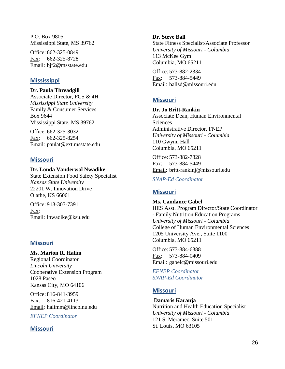P.O. Box 9805 Mississippi State, MS 39762

Office: 662-325-0849 Fax: 662-325-8728 Email: bjf2@msstate.edu

## **Mississippi**

**Dr. Paula Threadgill**

Associate Director, FCS & 4H *Mississippi State University* Family & Consumer Services Box 9644 Mississippi State, MS 39762

Office: 662-325-3032 Fax: 662-325-8254 Email: paulat@ext.msstate.edu

## **Missouri**

#### **Dr. Londa Vanderwal Nwadike**

State Extension Food Safety Specialist *Kansas State University* 22201 W. Innovation Drive Olathe, KS 66061

Office: 913-307-7391 Fax: Email: lnwadike@ksu.edu

## **Missouri**

**Ms. Marion R. Halim** Regional Coordinator *Lincoln University* Cooperative Extension Program 1028 Paseo Kansas City, MO 64106

Office: 816-841-3959 Fax: 816-421-4113 Email: halimm@lincolnu.edu

*EFNEP Coordinator*

## **Missouri**

#### **Dr. Steve Ball**

State Fitness Specialist/Associate Professor *University of Missouri - Columbia* 113 McKee Gym Columbia, MO 65211

Office: 573-882-2334 Fax: 573-884-5449 Email: ballsd@missouri.edu

## **Missouri**

**Dr. Jo Britt-Rankin** Associate Dean, Human Environmental **Sciences** Administrative Director, FNEP *University of Missouri - Columbia* 110 Gwynn Hall Columbia, MO 65211

Office: 573-882-7828 Fax: 573-884-5449 Email: britt-rankinj@missouri.edu

*SNAP-Ed Coordinator*

## **Missouri**

**Ms. Candance Gabel** HES Asst. Program Director/State Coordinator - Family Nutrition Education Programs *University of Missouri - Columbia* College of Human Environmental Sciences 1205 University Ave., Suite 1100 Columbia, MO 65211

Office: 573-884-6388 Fax: 573-884-0409 Email: gabelc@missouri.edu

*EFNEP Coordinator SNAP-Ed Coordinator*

## **Missouri**

**Damaris Karanja** Nutrition and Health Education Specialist *University of Missouri - Columbia* 121 S. Meramec, Suite 501 St. Louis, MO 63105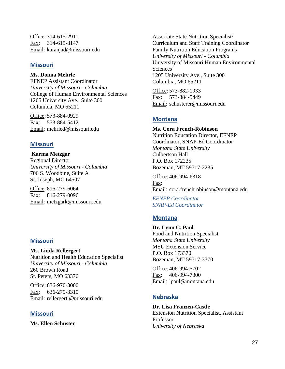Office: 314-615-2911 Fax: 314-615-8147 Email: karanjad@missouri.edu

## **Missouri**

#### **Ms. Donna Mehrle**

EFNEP Assistant Coordinator *University of Missouri - Columbia* College of Human Environmental Sciences 1205 University Ave., Suite 300 Columbia, MO 65211

Office: 573-884-0929 Fax: 573-884-5412 Email: mehrled@missouri.edu

## **Missouri**

**Karma Metzgar** Regional Director *University of Missouri - Columbia* 706 S. Woodbine, Suite A St. Joseph, MO 64507

Office: 816-279-6064 Fax: 816-279-0096 Email: metzgark@missouri.edu

## **Missouri**

#### **Ms. Linda Rellergert** Nutrition and Health Education Specialist *University of Missouri - Columbia* 260 Brown Road St. Peters, MO 63376

Office: 636-970-3000 Fax: 636-279-3310 Email: rellergertl@missouri.edu

## **Missouri**

**Ms. Ellen Schuster**

Associate State Nutrition Specialist/ Curriculum and Staff Training Coordinator Family Nutrition Education Programs *University of Missouri - Columbia* University of Missouri Human Environmental **Sciences** 1205 University Ave., Suite 300 Columbia, MO 65211

Office: 573-882-1933 Fax: 573-884-5449 Email: schusterer@missouri.edu

## **Montana**

### **Ms. Cora French-Robinson**

Nutrition Education Director, EFNEP Coordinator, SNAP-Ed Coordinator *Montana State University* Culbertson Hall P.O. Box 172235 Bozeman, MT 59717-2235

Office: 406-994-6318 Fax: Email: cora.frenchrobinson@montana.edu

*EFNEP Coordinator SNAP-Ed Coordinator*

# **Montana**

**Dr. Lynn C. Paul** Food and Nutrition Specialist *Montana State University* MSU Extension Service P.O. Box 173370 Bozeman, MT 59717-3370

Office: 406-994-5702 Fax: 406-994-7300 Email: lpaul@montana.edu

## **Nebraska**

**Dr. Lisa Franzen-Castle** Extension Nutrition Specialist, Assistant Professor *University of Nebraska*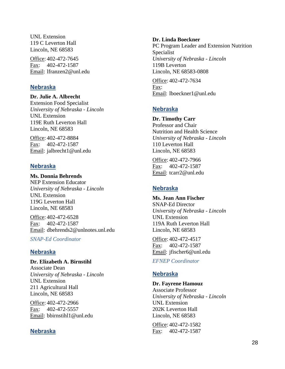UNL Extension 119 C Leverton Hall Lincoln, NE 68583

Office: 402-472-7645 Fax: 402-472-1587 Email: lfranzen2@unl.edu

## **Nebraska**

#### **Dr. Julie A. Albrecht**

Extension Food Specialist *University of Nebraska - Lincoln* UNL Extension 119E Ruth Leverton Hall Lincoln, NE 68583

Office: 402-472-8884 Fax: 402-472-1587 Email: jalbrecht1@unl.edu

## **Nebraska**

**Ms. Donnia Behrends** NEP Extension Educator *University of Nebraska - Lincoln* UNL Extension 119G Leverton Hall Lincoln, NE 68583

Office: 402-472-6528 Fax: 402-472-1587 Email: dbehrends2@unlnotes.unl.edu

*SNAP-Ed Coordinator*

# **Nebraska**

**Dr. Elizabeth A. Birnstihl** Associate Dean *University of Nebraska - Lincoln* UNL Extension 211 Agricultural Hall Lincoln, NE 68583

Office: 402-472-2966 Fax: 402-472-5557 Email: bbirnstihl1@unl.edu

## **Nebraska**

#### **Dr. Linda Boeckner**

PC Program Leader and Extension Nutrition Specialist *University of Nebraska - Lincoln* 119B Leverton Lincoln, NE 68583-0808

Office: 402-472-7634 Fax: Email: lboeckner1@unl.edu

## **Nebraska**

**Dr. Timothy Carr** Professor and Chair Nutrition and Health Science *University of Nebraska - Lincoln* 110 Leverton Hall Lincoln, NE 68583

Office: 402-472-7966 Fax: 402-472-1587 Email: tcarr2@unl.edu

# **Nebraska**

**Ms. Jean Ann Fischer** SNAP-Ed Director *University of Nebraska - Lincoln* UNL Extension 119A Ruth Leverton Hall Lincoln, NE 68583

Office: 402-472-4517 Fax: 402-472-1587 Email: jfischer6@unl.edu

## *EFNEP Coordinator*

## **Nebraska**

### **Dr. Fayrene Hamouz**

Associate Professor *University of Nebraska - Lincoln* UNL Extension 202K Leverton Hall Lincoln, NE 68583

Office: 402-472-1582 Fax: 402-472-1587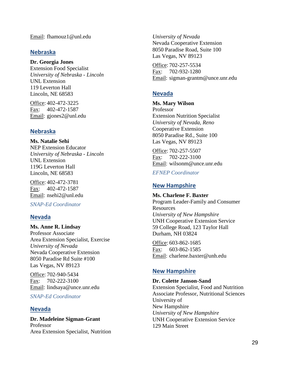Email : fhamouz1@unl.edu

## **Nebraska**

#### **Dr. Georgia Jones**

Extension Food Specialist *University of Nebraska - Lincoln* UNL Extension 119 Leverton Hall Lincoln, NE 68583

Office: 402-472-3225 Fax: 402-472-1587 Email: gjones2@unl.edu

## **Nebraska**

**Ms. Natalie Sehi** NEP Extension Educator *University of Nebraska - Lincoln* UNL Extension 119G Leverton Hall Lincoln, NE 68583

Office: 402-472-3781 Fax: 402-472-1587 Email: nsehi2@unl.edu

*SNAP -Ed Coordinator*

## **Nevada**

# **Ms. Anne R. Lindsay**

Professor Associate Area Extension Specialist, Exercise *University of Nevada* Nevada Cooperative Extension 8050 Paradise Rd Suite #100 Las Vegas, NV 89123

Office: 702-940-5434 Fax: 702-222-3100 Email: lindsaya@unce.unr.edu

*SNAP -Ed Coordinator*

## **Nevada**

**Dr. Madeleine Sigman -Grant** Professor Area Extension Specialist, Nutrition

*University of Nevada* Nevada Cooperative Extension 8050 Paradise Road, Suite 100 Las Vegas, NV 89123

Office: 702-257-5534 Fax: 702-932-1280 Email: sigman-grantm@unce.unr.edu

# **Nevada**

#### **Ms. Mary Wilson** Professor Extension Nutrition Specialist *University of Nevada, Reno* Cooperative Extension 8050 Paradise Rd., Suite 100 Las Vegas, NV 89123

Office: 702-257-5507 Fax: 702-222-3100 Email: wilsonm@unce.unr.edu

*EFNEP Coordinator*

## **New Hampshire**

#### **Ms. Charlene F. Baxter** Program Leader -Family and Consumer **Resources** *University of New Hampshire* UNH Cooperative Extension Service 59 College Road, 123 Taylor Hall Durham, NH 03824

Office: 603-862-1685 Fax: 603-862-1585 Email: charlene.baxter@unh.edu

## **New Hampshire**

### **Dr. Colette Janson -Sand**

Extension Specialist, Food and Nutrition Associate Professor, Nutritional Sciences University of New Hampshire *University of New Hampshire* UNH Cooperative Extension Service 129 Main Street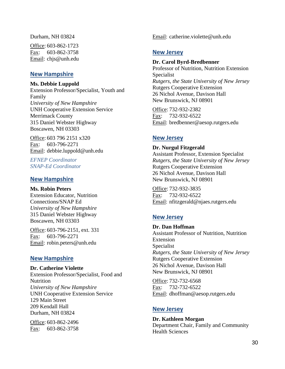Durham, NH 03824

Office: 603-862-1723 Fax: 603-862-3758 Email: chjs@unh.edu

### **New Hampshire**

#### **Ms. Debbie Luppold**

Extension Professor/Specialist, Youth and Family *University of New Hampshire* UNH Cooperative Extension Service Merrimack County 315 Daniel Webster Highway Boscawen, NH 03303

Office: 603 796 2151 x320 Fax: 603-796-2271 Email: debbie.luppold@unh.edu

*EFNEP Coordinator SNAP-Ed Coordinator*

### **New Hampshire**

#### **Ms. Robin Peters**

Extension Educator, Nutrition Connections/SNAP Ed *University of New Hampshire* 315 Daniel Webster Highway Boscawen, NH 03303

Office: 603-796-2151, ext. 331 Fax: 603-796-2271 Email: robin.peters@unh.edu

### **New Hampshire**

**Dr. Catherine Violette** Extension Professor/Specialist, Food and Nutrition *University of New Hampshire* UNH Cooperative Extension Service 129 Main Street 209 Kendall Hall Durham, NH 03824

Office: 603-862-2496 Fax: 603-862-3758

Email: catherine.violette@unh.edu

### **New Jersey**

#### **Dr. Carol Byrd-Bredbenner**

Professor of Nutrition, Nutrition Extension Specialist *Rutgers, the State University of New Jersey* Rutgers Cooperative Extension 26 Nichol Avenue, Davison Hall New Brunswick, NJ 08901

Office: 732-932-2382 Fax: 732-932-6522 Email: bredbenner@aesop.rutgers.edu

## **New Jersey**

**Dr. Nurgul Fitzgerald** Assistant Professor, Extension Specialist *Rutgers, the State University of New Jersey* Rutgers Cooperative Extension 26 Nichol Avenue, Davison Hall

Office: 732-932-3835 Fax: 732-932-6522 Email: nfitzgerald@njaes.rutgers.edu

New Brunswick, NJ 08901

## **New Jersey**

**Dr. Dan Hoffman** Assistant Professor of Nutrition, Nutrition Extension Specialist *Rutgers, the State University of New Jersey* Rutgers Cooperative Extension 26 Nichol Avenue, Davison Hall New Brunswick, NJ 08901

Office: 732-732-6568 Fax: 732-732-6522 Email: dhoffman@aesop.rutgers.edu

### **New Jersey**

**Dr. Kathleen Morgan** Department Chair, Family and Community Health Sciences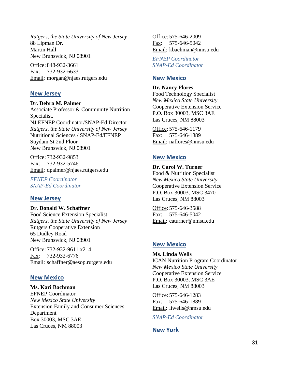*Rutgers, the State University of New Jersey* 88 Lipman Dr. Martin Hall New Brunswick, NJ 08901

Office: 848-932-3661 Fax: 732-932-6633 Email: morgan@njaes.rutgers.edu

#### **New Jersey**

#### **Dr. Debra M. Palmer**

Associate Professor & Community Nutrition Specialist, NJ EFNEP Coordinator/SNAP-Ed Director *Rutgers, the State University of New Jersey* Nutritional Sciences / SNAP-Ed/EFNEP Suydam St 2nd Floor New Brunswick, NJ 08901

Office: 732-932-9853 Fax: 732-932-5746 Email: dpalmer@njaes.rutgers.edu

*EFNEP Coordinator SNAP-Ed Coordinator*

#### **New Jersey**

**Dr. Donald W. Schaffner**

Food Science Extension Specialist *Rutgers, the State University of New Jersey* Rutgers Cooperative Extension 65 Dudley Road New Brunswick, NJ 08901

Office: 732-932-9611 x214 Fax: 732-932-6776 Email: schaffner@aesop.rutgers.edu

### **New Mexico**

#### **Ms. Kari Bachman**

EFNEP Coordinator *New Mexico State University* Extension Family and Consumer Sciences Department Box 30003, MSC 3AE Las Cruces, NM 88003

Office: 575-646-2009 Fax: 575-646-5042 Email: kbachman@nmsu.edu

*EFNEP Coordinator SNAP-Ed Coordinator*

#### **New Mexico**

**Dr. Nancy Flores** Food Technology Specialist *New Mexico State University* Cooperative Extension Service P.O. Box 30003, MSC 3AE Las Cruces, NM 88003

Office: 575-646-1179 Fax: 575-646-1889 Email: naflores@nmsu.edu

### **New Mexico**

**Dr. Carol W. Turner** Food & Nutrition Specialist *New Mexico State University* Cooperative Extension Service P.O. Box 30003, MSC 3470 Las Cruces, NM 88003

Office: 575-646-3588 Fax: 575-646-5042 Email: caturner@nmsu.edu

### **New Mexico**

**Ms. Linda Wells** ICAN Nutrition Program Coordinator *New Mexico State University* Cooperative Extension Service P.O. Box 30003, MSC 3AE Las Cruces, NM 88003

Office: 575-646-1283 Fax: 575-646-1889 Email: liwells@nmsu.edu

*SNAP-Ed Coordinator*

### **New York**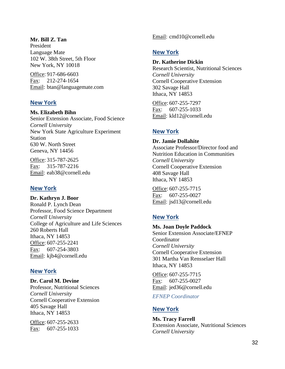#### **Mr. Bill Z. Tan**

President Language Mate 102 W. 38th Street, 5th Floor New York, NY 10018

Office: 917-686-6603 Fax: 212-274-1654 Email: btan@languagemate.com

#### **New York**

#### **Ms. Elizabeth Bihn**

Senior Extension Associate, Food Science *Cornell University* New York State Agriculture Experiment Station 630 W. North Street Geneva, NY 14456

Office: 315-787-2625 Fax: 315-787-2216 Email: eab38@cornell.edu

### **New York**

**Dr. Kathryn J. Boor** Ronald P. Lynch Dean Professor, Food Science Department *Cornell University* College of Agriculture and Life Sciences 260 Roberts Hall Ithaca, NY 14853 Office: 607-255-2241 Fax: 607-254-3803 Email: kjb4@cornell.edu

### **New York**

#### **Dr. Carol M. Devine**

Professor, Nutritional Sciences *Cornell University* Cornell Cooperative Extension 405 Savage Hall Ithaca, NY 14853

Office: 607-255-2633 Fax: 607-255-1033 Email: cmd10@cornell.edu

### **New York**

#### **Dr. Katherine Dickin**

Research Scientist, Nutritional Sciences *Cornell University* Cornell Cooperative Extension 302 Savage Hall Ithaca, NY 14853

Office: 607-255-7297 Fax: 607-255-1033 Email: kld12@cornell.edu

### **New York**

**Dr. Jamie Dollahite** Associate Professor/Director food and Nutrition Education in Communities *Cornell University* Cornell Cooperative Extension 408 Savage Hall Ithaca, NY 14853

Office: 607-255-7715 Fax: 607-255-0027 Email: jsd13@cornell.edu

## **New York**

**Ms. Joan Doyle Paddock** Senior Extension Associate/EFNEP Coordinator *Cornell University* Cornell Cooperative Extension 301 Martha Van Rensselaer Hall Ithaca, NY 14853

Office: 607-255-7715 Fax: 607-255-0027 Email: jed36@cornell.edu

*EFNEP Coordinator*

#### **New York**

**Ms. Tracy Farrell** Extension Associate, Nutritional Sciences *Cornell University*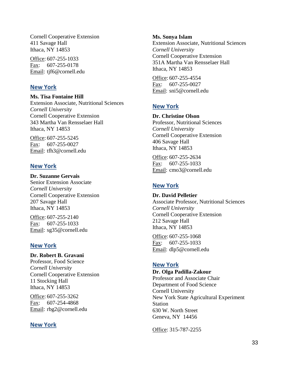Cornell Cooperative Extension 411 Savage Hall Ithaca, NY 14853

Office: 607-255-1033 Fax: 607-255-0178 Email: tjf6@cornell.edu

### **New York**

**Ms. Tisa Fontaine Hill** Extension Associate, Nutritional Sciences *Cornell University* Cornell Cooperative Extension 343 Martha Van Rensselaer Hall Ithaca, NY 14853

Office: 607-255-5245 Fax: 607-255-0027 Email: tfh3@cornell.edu

## **New York**

**Dr. Suzanne Gervais** Senior Extension Associate *Cornell University* Cornell Cooperative Extension 207 Savage Hall Ithaca, NY 14853

Office: 607-255-2140 Fax: 607-255-1033 Email: sg35@cornell.edu

## **New York**

**Dr. Robert B. Gravani** Professor, Food Science *Cornell University* Cornell Cooperative Extension 11 Stocking Hall Ithaca, NY 14853

Office: 607-255-3262 Fax: 607-254-4868 Email: rbg2@cornell.edu

## **New York**

#### **Ms. Sonya Islam**

Extension Associate, Nutritional Sciences *Cornell University* Cornell Cooperative Extension 351A Martha Van Rensselaer Hall Ithaca, NY 14853

Office: 607-255-4554 Fax: 607-255-0027 Email: sni5@cornell.edu

## **New York**

**Dr. Christine Olson** Professor, Nutritional Sciences *Cornell University* Cornell Cooperative Extension 406 Savage Hall Ithaca, NY 14853

Office: 607-255-2634 Fax: 607-255-1033 Email: cmo3@cornell.edu

## **New York**

**Dr. David Pelletier** Associate Professor, Nutritional Sciences *Cornell University* Cornell Cooperative Extension 212 Savage Hall Ithaca, NY 14853

Office: 607-255-1068 Fax: 607-255-1033 Email: dlp5@cornell.edu

## **New York**

**Dr. Olga Padilla-Zakour**

Professor and Associate Chair Department of Food Science Cornell University New York State Agricultural Experiment Station 630 W. North Street Geneva, NY 14456

Office: 315-787-2255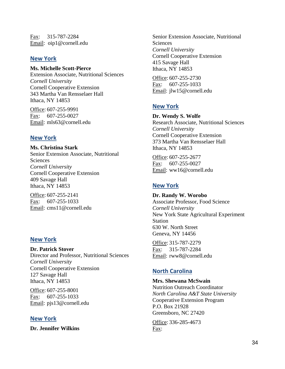Fax: 315-787-2284 Email: oip1@cornell.edu

## **New York**

#### **Ms. Michelle Scott-Pierce**

Extension Associate, Nutritional Sciences *Cornell University* Cornell Cooperative Extension 343 Martha Van Rensselaer Hall Ithaca, NY 14853

Office: 607-255-9991 Fax: 607-255-0027 Email: mls63@cornell.edu

## **New York**

**Ms. Christina Stark** Senior Extension Associate, Nutritional **Sciences** *Cornell University* Cornell Cooperative Extension 409 Savage Hall Ithaca, NY 14853

Office: 607-255-2141 Fax: 607-255-1033 Email: cms11@cornell.edu

## **New York**

**Dr. Patrick Stover** Director and Professor, Nutritional Sciences *Cornell University* Cornell Cooperative Extension 127 Savage Hall Ithaca, NY 14853

Office: 607-255-8001 Fax: 607-255-1033 Email: pjs13@cornell.edu

## **New York**

**Dr. Jennifer Wilkins**

Senior Extension Associate, Nutritional **Sciences** *Cornell University* Cornell Cooperative Extension 415 Savage Hall Ithaca, NY 14853

Office: 607-255-2730 Fax: 607-255-1033 Email: jlw15@cornell.edu

# **New York**

**Dr. Wendy S. Wolfe** Research Associate, Nutritional Sciences *Cornell University* Cornell Cooperative Extension 373 Martha Van Rensselaer Hall Ithaca, NY 14853

Office: 607-255-2677 Fax: 607-255-0027 Email: ww16@cornell.edu

# **New York**

**Dr. Randy W. Worobo** Associate Professor, Food Science *Cornell University* New York State Agricultural Experiment Station 630 W. North Street Geneva, NY 14456

Office: 315-787-2279 Fax: 315-787-2284 Email: rww8@cornell.edu

# **North Carolina**

**Mrs. Shewana McSwain**

Nutrition Outreach Coordinator *North Carolina A&T State University* Cooperative Extension Program P.O. Box 21928 Greensboro, NC 27420

Office: 336-285-4673 Fax: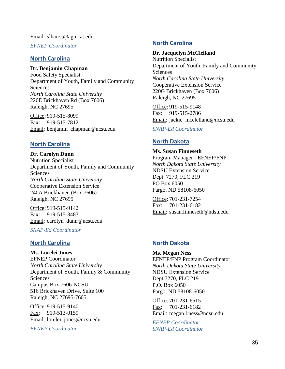#### Email: slhairst@ag.ncat.edu

*EFNEP Coordinator*

#### **North Carolina**

#### **Dr. Benjamin Chapman**

Food Safety Specialist Department of Youth, Family and Community Sciences *North Carolina State University* 220E Brickhaven Rd (Box 7606) Raleigh, NC 27695

Office: 919-515-8099 Fax: 919-515-7812 Email: benjamin\_chapman@ncsu.edu

### **North Carolina**

**Dr. Carolyn Dunn** Nutrition Specialist Department of Youth, Family and Community Sciences *North Carolina State University* Cooperative Extension Service 240A Brickhaven (Box 7606) Raleigh, NC 27695

Office: 919-515-9142 Fax: 919-515-3483 Email: carolyn\_dunn@ncsu.edu

*SNAP-Ed Coordinator*

#### **North Carolina**

**Ms. Lorelei Jones** EFNEP Coordinator *North Carolina State University* Department of Youth, Family & Community **Sciences** Campus Box 7606-NCSU 516 Brickhaven Drive, Suite 100 Raleigh, NC 27695-7605

Office: 919-515-9140 Fax: 919-513-0159 Email: lorelei\_jones@ncsu.edu

*EFNEP Coordinator*

#### **North Carolina**

#### **Dr. Jacquelyn McClelland**

Nutrition Specialist Department of Youth, Family and Community **Sciences** *North Carolina State University* Cooperative Extension Service 220G Brickhaven (Box 7606) Raleigh, NC 27695

Office: 919-515-9148 Fax: 919-515-2786 Email: jackie\_mcclelland@ncsu.edu

*SNAP-Ed Coordinator*

### **North Dakota**

## **Ms. Susan Finneseth** Program Manager - EFNEP/FNP *North Dakota State University*

NDSU Extension Service Dept. 7270, FLC 219 PO Box 6050 Fargo, ND 58108-6050

Office: 701-231-7254 Fax: 701-231-6182 Email: susan.finneseth@ndsu.edu

#### **North Dakota**

**Ms. Megan Ness** EFNEP/FNP Program Coordinator *North Dakota State University* NDSU Extension Service Dept 7270, FLC 219 P.O. Box 6050 Fargo, ND 58108-6050

Office: 701-231-6515 Fax: 701-231-6182 Email: megan.l.ness@ndsu.edu

*EFNEP Coordinator SNAP-Ed Coordinator*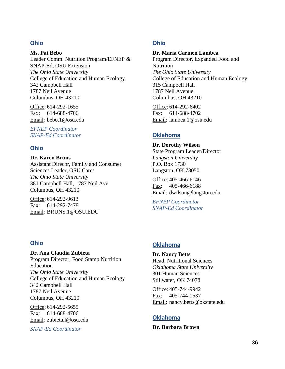### **Ohio**

**Ms. Pat Bebo** Leader Comm. Nutrition Program/EFNEP & SNAP-Ed, OSU Extension *The Ohio State University* College of Education and Human Ecology 342 Campbell Hall 1787 Neil Avenue Columbus, OH 43210

Office: 614-292-1655 Fax: 614-688-4706 Email: bebo.1@osu.edu

*EFNEP Coordinator SNAP-Ed Coordinator*

## **Ohio**

**Dr. Karen Bruns**

Assistant Direcor, Family and Consumer Sciences Leader, OSU Cares *The Ohio State University* 381 Campbell Hall, 1787 Neil Ave Columbus, OH 43210

Office: 614-292-9613 Fax: 614-292-7478 Email: BRUNS.1@OSU.EDU

## **Ohio**

**Dr. Ana Claudia Zubieta** Program Director, Food Stamp Nutrition Education *The Ohio State University* College of Education and Human Ecology 342 Campbell Hall 1787 Neil Avenue Columbus, OH 43210

Office: 614-292-5655 Fax: 614-688-4706 Email: zubieta.l@osu.edu

*SNAP-Ed Coordinator*

# **Ohio**

### **Dr. Maria Carmen Lambea**

Program Director, Expanded Food and Nutrition *The Ohio State University* College of Education and Human Ecology 315 Campbell Hall 1787 Neil Avenue Columbus, OH 43210

Office: 614-292-6402 Fax: 614-688-4702 Email: lambea.1@osu.edu

# **Oklahoma**

**Dr. Dorothy Wilson** State Program Leader/Director *Langston University* P.O. Box 1730 Langston, OK 73050

Office: 405-466-6146 Fax: 405-466-6188 Email: dwilson@langston.edu

*EFNEP Coordinator SNAP-Ed Coordinator*

## **Oklahoma**

**Dr. Nancy Betts** Head, Nutritional Sciences *Oklahoma State University* 301 Human Sciences Stillwater, OK 74078

Office: 405-744-9942 Fax: 405-744-1537 Email: nancy.betts@okstate.edu

## **Oklahoma**

**Dr. Barbara Brown**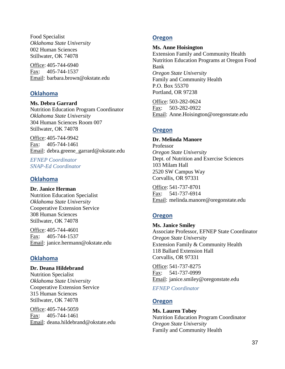Food Specialist *Oklahoma State University* 002 Human Sciences Stillwater, OK 74078

Office: 405-744-6940 Fax: 405-744-1537 Email: barbara.brown@okstate.edu

## **Oklahoma**

### **Ms. Debra Garrard**

Nutrition Education Program Coordinator *Oklahoma State University* 304 Human Sciences Room 007 Stillwater, OK 74078

Office: 405-744-9942 Fax: 405-744-1461 Email: debra.greene\_garrard@okstate.edu

*EFNEP Coordinator SNAP-Ed Coordinator*

## **Oklahoma**

**Dr. Janice Herman** Nutrition Education Specialist *Oklahoma State University* Cooperative Extension Service 308 Human Sciences Stillwater, OK 74078

Office: 405-744-4601 Fax: 405-744-1537 Email: janice.hermann@okstate.edu

## **Oklahoma**

# **Dr. Deana Hildebrand**

Nutrition Specialist *Oklahoma State University* Cooperative Extension Service 315 Human Sciences Stillwater, OK 74078

Office: 405-744-5059 Fax: 405-744-1461 Email: deana.hildebrand@okstate.edu

## **Oregon**

#### **Ms. Anne Hoisington**

Extension Family and Community Health Nutrition Education Programs at Oregon Food Bank *Oregon State University* Family and Community Health P.O. Box 55370 Portland, OR 97238

Office: 503-282-0624 Fax: 503-282-0922 Email: Anne.Hoisington@oregonstate.edu

## **Oregon**

#### **Dr. Melinda Manore**

Professor *Oregon State University* Dept. of Nutrition and Exercise Sciences 103 Milam Hall 2520 SW Campus Way Corvallis, OR 97331

Office: 541-737-8701 Fax: 541-737-6914 Email: melinda.manore@oregonstate.edu

## **Oregon**

**Ms. Janice Smiley** Associate Professor, EFNEP State Coordinator *Oregon State University* Extension Family & Community Health 118 Ballard Extension Hall Corvallis, OR 97331

Office: 541-737-8275 Fax: 541-737-0999 Email: janice.smiley@oregonstate.edu

*EFNEP Coordinator*

## **Oregon**

**Ms. Lauren Tobey** Nutrition Education Program Coordinator *Oregon State University* Family and Community Health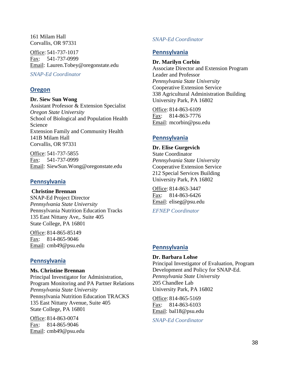161 Milam Hall Corvallis, OR 97331

Office: 541-737-1017 Fax: 541-737-0999 Email: Lauren.Tobey@oregonstate.edu

*SNAP-Ed Coordinator*

## **Oregon**

#### **Dr. Siew Sun Wong**

Assistant Professor & Extension Specialist *Oregon State University* School of Biological and Population Health Science Extension Family and Community Health 141B Milam Hall Corvallis, OR 97331

Office: 541-737-5855 Fax: 541-737-0999 Email: SiewSun.Wong@oregonstate.edu

## **Pennsylvania**

**Christine Brennan** SNAP-Ed Project Director *Pennsylvania State University* Pennsylvania Nutrition Education Tracks 135 East Nittany Ave,. Suite 405 State College, PA 16801

Office: 814-865-85149 Fax: 814-865-9046 Email: cmb49@psu.edu

## **Pennsylvania**

#### **Ms. Christine Brennan**

Principal Investigator for Administration, Program Monitoring and PA Partner Relations *Pennsylvania State University* Pennsylvania Nutrition Education TRACKS 135 East Nittany Avenue, Suite 405 State College, PA 16801

Office: 814-863-0074 Fax: 814-865-9046 Email: cmb49@psu.edu

## *SNAP-Ed Coordinator*

## **Pennsylvania**

#### **Dr. Marilyn Corbin**

Associate Director and Extension Program Leader and Professor *Pennsylvania State University* Cooperative Extension Service 338 Agricultural Administration Building University Park, PA 16802

Office: 814-863-6109 Fax: 814-863-7776 Email: mcorbin@psu.edu

## **Pennsylvania**

#### **Dr. Elise Gurgevich** State Coordinator *Pennsylvania State University* Cooperative Extension Service 212 Special Services Building University Park, PA 16802

Office: 814-863-3447 Fax: 814-863-6426 Email: eliseg@psu.edu

*EFNEP Coordinator*

## **Pennsylvania**

### **Dr. Barbara Lohse**

Principal Investigator of Evaluation, Program Development and Policy for SNAP-Ed. *Pennsylvania State University* 205 Chandlee Lab University Park, PA 16802

Office: 814-865-5169 Fax: 814-863-6103 Email: bal18@psu.edu

*SNAP-Ed Coordinator*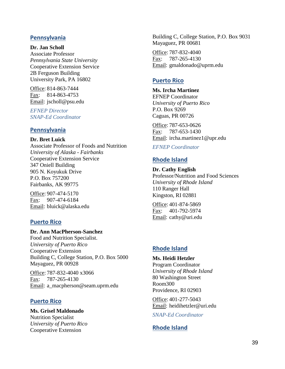## **Pennsylvania**

**Dr. Jan Scholl** Associate Professor *Pennsylvania State University* Cooperative Extension Service 2B Ferguson Building University Park, PA 16802

Office: 814-863-7444 Fax: 814-863-4753 Email: jscholl@psu.edu

*EFNEP Director SNAP-Ed Coordinator*

## **Pennsylvania**

**Dr. Bret Luick** Associate Professor of Foods and Nutrition *University of Alaska - Fairbanks* Cooperative Extension Service 347 Oniell Building 905 N. Koyukuk Drive P.O. Box 757200 Fairbanks, AK 99775

Office: 907-474-5170 Fax: 907-474-6184 Email: bluick@alaska.edu

## **Puerto Rico**

#### **Dr. Ann MacPherson-Sanchez**

Food and Nutrition Specialist. *University of Puerto Rico* Cooperative Extension Building C, College Station, P.O. Box 5000 Mayaguez, PR 00928

Office: 787-832-4040 x3066 Fax: 787-265-4130 Email: a\_macpherson@seam.uprm.edu

## **Puerto Rico**

**Ms. Grisel Maldonado** Nutrition Specialist *University of Puerto Rico* Cooperative Extension

Building C, College Station, P.O. Box 9031 Mayaguez, PR 00681

Office: 787-832-4040 Fax: 787-265-4130 Email: gmaldonado@uprm.edu

## **Puerto Rico**

**Ms. Ircha Martinez** EFNEP Coordinator *University of Puerto Rico* P.O. Box 9269 Caguas, PR 00726

Office: 787-653-0626 Fax: 787-653-1430 Email: ircha.martinez1@upr.edu

## *EFNEP Coordinator*

# **Rhode Island**

**Dr. Cathy English** Professor/Nutrition and Food Sciences *University of Rhode Island* 110 Ranger Hall Kingston, RI 02881

Office: 401-874-5869 Fax: 401-792-5974 Email: cathy@uri.edu

## **Rhode Island**

**Ms. Heidi Hetzler** Program Coordinator *University of Rhode Island* 80 Washington Street Room300 Providence, RI 02903

Office: 401-277-5043 Email: heidihetzler@uri.edu

*SNAP-Ed Coordinator*

# **Rhode Island**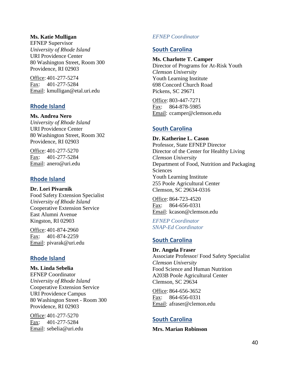#### **Ms. Katie Mulligan**

EFNEP Supervisor *University of Rhode Island* URI Providence Center 80 Washington Street, Room 300 Providence, RI 02903

Office: 401-277-5274 Fax: 401-277-5284 Email: kmulligan@etal.uri.edu

### **Rhode Island**

**Ms. Andrea Nero** *University of Rhode Island* URI Providence Center 80 Washington Street, Room 302 Providence, RI 02903

Office: 401-277-5270 Fax: 401-277-5284 Email: anero@uri.edu

### **Rhode Island**

**Dr. Lori Pivarnik** Food Safety Extension Specialist *University of Rhode Island* Cooperative Extension Service East Alumni Avenue Kingston, RI 02903

Office: 401-874-2960 Fax: 401-874-2259 Email: pivarak@uri.edu

## **Rhode Island**

**Ms. Linda Sebelia** EFNEP Coordinator *University of Rhode Island* Cooperative Extension Service URI Providence Campus 80 Washington Street - Room 300 Providence, RI 02903

Office: 401-277-5270 Fax: 401-277-5284 Email: sebelia@uri.edu

### *EFNEP Coordinator*

## **South Carolina**

## **Ms. Charlotte T. Camper**

Director of Programs for At-Risk Youth *Clemson University* Youth Learning Institute 698 Concord Church Road Pickens, SC 29671

Office: 803-447-7271 Fax: 864-878-5985 Email: ccamper@clemson.edu

## **South Carolina**

**Dr. Katherine L. Cason** Professor, State EFNEP Director Director of the Center for Healthy Living *Clemson University* Department of Food, Nutrition and Packaging **Sciences** Youth Learning Institute 255 Poole Agricultural Center Clemson, SC 29634-0316

Office: 864-723-4520 Fax: 864-656-0331 Email: kcason@clemson.edu

*EFNEP Coordinator SNAP-Ed Coordinator*

# **South Carolina**

#### **Dr. Angela Fraser**

Associate Professor/ Food Safety Specialist *Clemson University* Food Science and Human Nutrition A203B Poole Agricultural Center Clemson, SC 29634

Office: 864-656-3652 Fax: 864-656-0331 Email: afraser@clemon.edu

## **South Carolina**

**Mrs. Marian Robinson**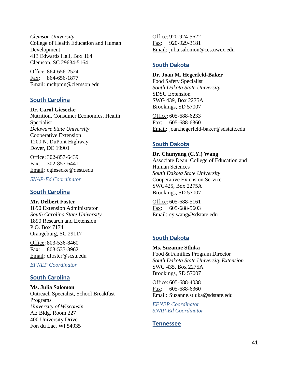*Clemson University* College of Health Education and Human Development 413 Edwards Hall, Box 164 Clemson, SC 29634-5164

Office: 864-656-2524 Fax: 864-656-1877 Email: mchpmn@clemson.edu

### **South Carolina**

**Dr. Carol Giesecke** Nutrition, Consumer Economics, Health Specialist *Delaware State University* Cooperative Extension 1200 N. DuPont Highway Dover, DE 19901

Office: 302-857-6439 Fax: 302-857-6441 Email: cgiesecke@desu.edu

*SNAP-Ed Coordinator*

## **South Carolina**

**Mr. Delbert Foster**

1890 Extension Administrator *South Carolina State University* 1890 Research and Extension P.O. Box 7174 Orangeburg, SC 29117

Office: 803-536-8460 Fax: 803-533-3962 Email: dfoster@scsu.edu

*EFNEP Coordinator*

## **South Carolina**

**Ms. Julia Salomon** Outreach Specialist, School Breakfast Programs *University of Wisconsin* AE Bldg. Room 227 400 University Drive Fon du Lac, WI 54935

Office: 920-924-5622 Fax: 920-929-3181 Email: julia.salomon@ces.uwex.edu

## **South Dakota**

**Dr. Joan M. Hegerfeld-Baker** Food Safety Specialist *South Dakota State University* SDSU Extension SWG 439, Box 2275A Brookings, SD 57007

Office: 605-688-6233 Fax: 605-688-6360 Email: joan.hegerfeld-baker@sdstate.edu

## **South Dakota**

**Dr. Chunyang (C.Y.) Wang** Associate Dean, College of Education and Human Sciences *South Dakota State University* Cooperative Extension Service SWG425, Box 2275A Brookings, SD 57007

Office: 605-688-5161 Fax: 605-688-5603 Email: cy.wang@sdstate.edu

# **South Dakota**

**Ms. Suzanne Stluka** Food & Families Program Director *South Dakota State University Extension* SWG 435, Box 2275A Brookings, SD 57007

Office: 605-688-4038 Fax: 605-688-6360 Email: Suzanne.stluka@sdstate.edu

*EFNEP Coordinator SNAP-Ed Coordinator*

## **Tennessee**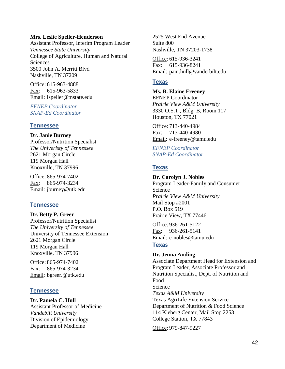#### **Mrs. Leslie Speller-Henderson**

Assistant Professor, Interim Program Leader *Tennessee State University* College of Agriculture, Human and Natural **Sciences** 3500 John A. Merritt Blvd Nashville, TN 37209

Office: 615-963-4888 Fax: 615-963-5833 Email: lspeller@tnstate.edu

*EFNEP Coordinator SNAP-Ed Coordinator*

#### **Tennessee**

#### **Dr. Janie Burney**

Professor/Nutrition Specialist *The Univeristy of Tennessee* 2621 Morgan Circle 119 Morgan Hall Knoxville, TN 37996

Office: 865-974-7402 Fax: 865-974-3234 Email: jburney@utk.edu

## **Tennessee**

**Dr. Betty P. Greer** Professor/Nutrition Specialist *The University of Tennessee* University of Tennessee Extension 2621 Morgan Circle 119 Morgan Hall Knoxville, TN 37996

Office: 865-974-7402 Fax: 865-974-3234 Email: bgreer.@utk.edu

## **Tennessee**

**Dr. Pamela C. Hull** Assistant Professor of Medicine *Vandebilt University* Division of Epidemiology Department of Medicine

2525 West End Avenue Suite 800 Nashville, TN 37203-1738

Office: 615-936-3241 Fax: 615-936-8241 Email: pam.hull@vanderbilt.edu

### **Texas**

**Ms. B. Elaine Freeney** EFNEP Coordinator *Prairie View A&M University* 3330 O.S.T., Bldg. B, Room 117 Houston, TX 77021

Office: 713-440-4984 Fax: 713-440-4980 Email: e-freeney@tamu.edu

*EFNEP Coordinator SNAP-Ed Coordinator*

### **Texas**

# **Dr. Carolyn J. Nobles**

Program Leader-Family and Consumer Science *Prairie View A&M University* Mail Stop #2001 P.O. Box 519 Prairie View, TX 77446

Office: 936-261-5122 Fax: 936-261-5141 Email: c-nobles@tamu.edu

### **Texas**

### **Dr. Jenna Anding**

Associate Department Head for Extension and Program Leader, Associate Professor and Nutrition Specialist, Dept. of Nutrition and Food Science *Texas A&M University* Texas AgriLife Extension Service Department of Nutrition & Food Science 114 Kleberg Center, Mail Stop 2253 College Station, TX 77843

Office: 979-847-9227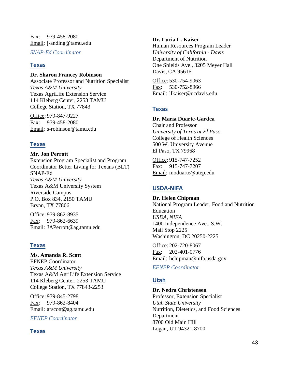Fax: 979-458-2080 Email: j-anding@tamu.edu

*SNAP-Ed Coordinator*

# **Texas**

### **Dr. Sharon Francey Robinson**

Associate Professor and Nutrition Specialist *Texas A&M University* Texas AgriLife Extension Service 114 Kleberg Center, 2253 TAMU College Station, TX 77843

Office: 979-847-9227 Fax: 979-458-2080 Email: s-robinson@tamu.edu

# **Texas**

## **Mr. Jon Perrott**

Extension Program Specialist and Program Coordinator Better Living for Texans (BLT) SNAP-Ed *Texas A&M University* Texas A&M University System Riverside Campus P.O. Box 834, 2150 TAMU Bryan, TX 77806

Office: 979-862-8935 Fax: 979-862-6639 Email: JAPerrott@ag.tamu.edu

# **Texas**

**Ms. Amanda R. Scott** EFNEP Coordinator *Texas A&M University* Texas A&M AgriLife Extension Service 114 Kleberg Center, 2253 TAMU College Station, TX 77843-2253

Office: 979-845-2798 Fax: 979-862-8404 Email: arscott@ag.tamu.edu

*EFNEP Coordinator*

# **Texas**

## **Dr. Lucia L. Kaiser**

Human Resources Program Leader *University of California - Davis* Department of Nutrition One Shields Ave., 3205 Meyer Hall Davis, CA 95616

Office: 530-754-9063 Fax: 530-752-8966 Email: llkaiser@ucdavis.edu

# **Texas**

## **Dr. Maria Duarte-Gardea**

Chair and Professor *University of Texas at El Paso* College of Health Sciences 500 W. University Avenue El Paso, TX 79968

Office: 915-747-7252 Fax: 915-747-7207 Email: moduarte@utep.edu

# **USDA-NIFA**

**Dr. Helen Chipman** National Program Leader, Food and Nutrition Education *USDA, NIFA* 1400 Independence Ave., S.W. Mail Stop 2225 Washington, DC 20250-2225

Office: 202-720-8067 Fax: 202-401-0776 Email: hchipman@nifa.usda.gov

*EFNEP Coordinator*

# **Utah**

## **Dr. Nedra Christensen**

Professor, Extension Specialist *Utah State University* Nutrition, Dietetics, and Food Sciences Department 8700 Old Main Hill Logan, UT 94321-8700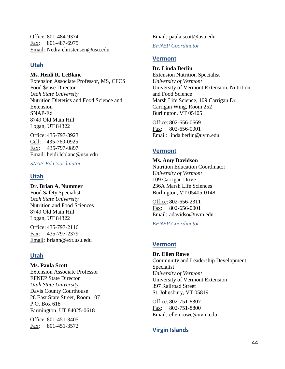Office: 801-484-9374 Fax: 801-487-6975 Email: Nedra.christensen@usu.edu

## **Utah**

**Ms. Heidi R. LeBlanc** Extension Associate Professor, MS, CFCS Food \$ense Director *Utah State University* Nutrition Dietetics and Food Science and Extension SNAP-Ed 8749 Old Main Hill Logan, UT 84322

Office: 435-797-3923 Cell: 435-760-0925 Fax: 435-797-0897 Email: heidi.leblanc@usu.edu

*SNAP-Ed Coordinator*

## **Utah**

**Dr. Brian A. Nummer** Food Safety Specialist *Utah State University* Nutrition and Food Sciences 8749 Old Main Hill Logan, UT 84322

Office: 435-797-2116 Fax: 435-797-2379 Email: briann@ext.usu.edu

# **Utah**

**Ms. Paula Scott** Extension Associate Professor EFNEP State Director *Utah State University* Davis County Courthouse 28 East State Street, Room 107 P.O. Box 618 Farmington, UT 84025-0618

Office: 801-451-3405 Fax: 801-451-3572 Email: paula.scott@usu.edu

*EFNEP Coordinator*

## **Vermont**

**Dr. Linda Berlin** Extension Nutrition Specialist *University of Vermont* University of Vermont Extension, Nutrition and Food Science Marsh Life Science, 109 Carrigan Dr. Carrigan Wing, Room 252 Burlington, VT 05405

Office: 802-656-0669 Fax: 802-656-0001 Email: linda.berlin@uvm.edu

## **Vermont**

**Ms. Amy Davidson** Nutrition Education Coordinator *University of Vermont* 109 Carrigan Drive 236A Marsh Life Sciences Burlington, VT 05405-0148

Office: 802-656-2311 Fax: 802-656-0001 Email: adavidso@uvm.edu

*EFNEP Coordinator*

## **Vermont**

**Dr. Ellen Rowe** Community and Leadership Development Specialist *University of Vermont* University of Vermont Extension 397 Railroad Street St. Johnsbury, VT 05819

Office: 802-751-8307 Fax: 802-751-8800 Email: ellen.rowe@uvm.edu

# **Virgin Islands**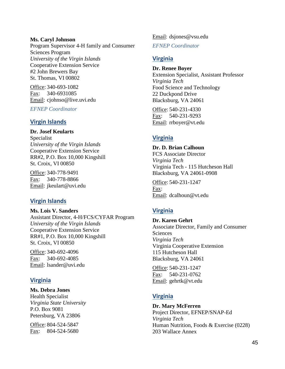#### **Ms. Caryl Johnson**

Program Supervisor 4-H family and Consumer Sciences Program *University of the Virgin Islands* Cooperative Extension Service #2 John Brewers Bay St. Thomas, VI 00802

Office: 340-693-1082 Fax: 340-6931085 Email: cjohnso@live.uvi.edu

*EFNEP Coordinator*

### **Virgin Islands**

**Dr. Josef Keularts** Specialist *University of the Virgin Islands* Cooperative Extension Service RR#2, P.O. Box 10,000 Kingshill St. Croix, VI 00850

Office: 340-778-9491 Fax: 340-778-8866 Email: jkeulart@uvi.edu

## **Virgin Islands**

**Ms. Lois V. Sanders** Assistant Director, 4-H/FCS/CYFAR Program *University of the Virgin Islands* Cooperative Extension Service RR#1, P.O. Box 10,000 Kingshill St. Croix, VI 00850

Office: 340-692-4096 Fax: 340-692-4085 Email: lsander@uvi.edu

## **Virginia**

### **Ms. Debra Jones**

Health Specialist *Virginia State University* P.O. Box 9081 Petersburg, VA 23806

Office: 804-524-5847 Fax: 804-524-5680 Email: dsjones@vsu.edu

*EFNEP Coordinator*

# **Virginia**

**Dr. Renee Boyer** Extension Specialist, Assistant Professor *Virginia Tech* Food Science and Technology 22 Duckpond Drive Blacksburg, VA 24061

Office: 540-231-4330 Fax: 540-231-9293 Email: rrboyer@vt.edu

# **Virginia**

**Dr. D. Brian Calhoun** FCS Associate Director *Virginia Tech* Virginia Tech - 115 Hutcheson Hall Blacksburg, VA 24061-0908

Office: 540-231-1247 Fax: Email: dcalhoun@vt.edu

# **Virginia**

**Dr. Karen Gehrt** Associate Director, Family and Consumer **Sciences** *Virginia Tech* Virginia Cooperative Extension 115 Hutcheson Hall Blacksburg, VA 24061

Office: 540-231-1247 Fax: 540-231-0762 Email: gehrtk@vt.edu

## **Virginia**

**Dr. Mary McFerren** Project Director, EFNEP/SNAP-Ed *Virginia Tech* Human Nutrition, Foods & Exercise (0228) 203 Wallace Annex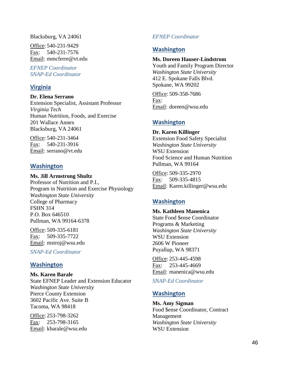Blacksburg, VA 24061

Office: 540-231-9429 Fax: 540-231-7576 Email: mmcferre@vt.edu

*EFNEP Coordinator SNAP-Ed Coordinator*

## **Virginia**

**Dr. Elena Serrano** Extension Specialist, Assistant Professor *Virginia Tech* Human Nutrition, Foods, and Exercise 201 Wallace Annex

Blacksburg, VA 24061

Office: 540-231-3464 Fax: 540-231-3916 Email: serrano@vt.edu

## **Washington**

**Ms. Jill Armstrong Shultz** Professor of Nutrition and P.I., Program in Nutrition and Exercise Physiology *Washington State University* College of Pharmacy FSHN 314 P.O. Box 646510 Pullman, WA 99164-6378

Office: 509-335-6181 Fax: 509-335-7722 Email: mstroj@wsu.edu

*SNAP-Ed Coordinator*

## **Washington**

**Ms. Karen Barale** State EFNEP Leader and Extension Educator *Washington State University* Pierce County Extension 3602 Pacific Ave. Suite B Tacoma, WA 98418

Office: 253-798-3262 Fax: 253-798-3165 Email: kbarale@wsu.edu

### *EFNEP Coordinator*

## **Washington**

#### **Ms. Doreen Hauser-Lindstrom**

Youth and Family Program Director *Washington State University* 412 E. Spokane Falls Blvd. Spokane, WA 99202

Office: 509-358-7686 Fax: Email: doreen@wsu.edu

## **Washington**

**Dr. Karen Killinger** Extension Food Safety Specialist *Washington State University* WSU Extension Food Science and Human Nutrition Pullman, WA 99164

Office: 509-335-2970 Fax: 509-335-4815 Email: Karen.killinger@wsu.edu

## **Washington**

**Ms. Kathleen Manenica** State Food \$ense Coordinator Programs & Marketing *Washington State University* WSU Extension 2606 W Pioneer Puyallup, WA 98371

Office: 253-445-4598 Fax: 253-445-4669 Email: manenica@wsu.edu

*SNAP-Ed Coordinator*

## **Washington**

**Ms. Amy Sigman** Food \$ense Coordinator, Contract Management *Washington State University* WSU Extension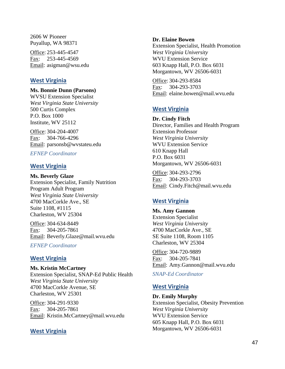2606 W Pioneer Puyallup, WA 98371

Office: 253-445-4547 Fax: 253-445-4569 Email: asigman@wsu.edu

## **West Virginia**

#### **Ms. Bonnie Dunn (Parsons)**

WVSU Extension Specialist *West Virginia State University* 500 Curtis Complex P.O. Box 1000 Institute, WV 25112

Office: 304-204-4007 Fax: 304-766-4296 Email: parsonsb@wvstateu.edu

## *EFNEP Coordinator*

### **West Virginia**

**Ms. Beverly Glaze** Extension Specialist, Family Nutrition Program Adult Program *West Virginia State University* 4700 MacCorkle Ave., SE Suite 1108, #1115 Charleston, WV 25304

Office: 304-634-8449 Fax: 304-205-7861 Email: Beverly.Glaze@mail.wvu.edu

*EFNEP Coordinator*

## **West Virginia**

**Ms. Kristin McCartney** Extension Specialist, SNAP-Ed Public Health *West Virginia State University* 4700 MacCorkle Avenue, SE Charleston, WV 25301

Office: 304-291-9330 Fax: 304-205-7861 Email: Kristin.McCartney@mail.wvu.edu

### **West Virginia**

#### **Dr. Elaine Bowen**

Extension Specialist, Health Promotion *West Virginia University* WVU Extension Service 603 Knapp Hall, P.O. Box 6031 Morgantown, WV 26506-6031

Office: 304-293-8584 Fax: 304-293-3703 Email: elaine.bowen@mail.wvu.edu

## **West Virginia**

**Dr. Cindy Fitch** Director, Families and Health Program Extension Professor *West Virginia University* WVU Extension Service 610 Knapp Hall P.O. Box 6031 Morgantown, WV 26506-6031

Office: 304-293-2796 Fax: 304-293-3703 Email: Cindy.Fitch@mail.wvu.edu

## **West Virginia**

**Ms. Amy Gannon** Extension Specialist *West Virginia University* 4700 MacCorkle Ave., SE SE Suite 1108, Room 1105 Charleston, WV 25304

Office: 304-720-9889 Fax: 304-205-7841 Email: Amy.Gannon@mail.wvu.edu

*SNAP-Ed Coordinator*

## **West Virginia**

**Dr. Emily Murphy**

Extension Specialist, Obesity Prevention *West Virginia University* WVU Extension Service 605 Knapp Hall, P.O. Box 6031 Morgantown, WV 26506-6031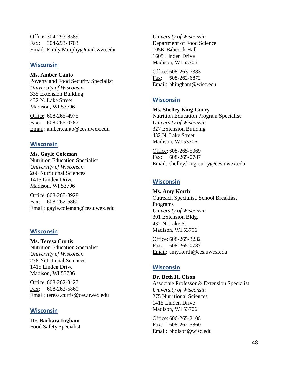Office: 304-293-8589 Fax: 304-293-3703 Email: Emily.Murphy@mail.wvu.edu

#### **Wisconsin**

**Ms. Amber Canto**

Poverty and Food Security Specialist *University of Wisconsin* 335 Extension Building 432 N. Lake Street Madison, WI 53706

Office: 608-265-4975 Fax: 608-265-0787 Email: amber.canto@ces.uwex.edu

### **Wisconsin**

**Ms. Gayle Coleman** Nutrition Education Specialist *University of Wisconsin* 266 Nutritional Sciences 1415 Linden Drive Madison, WI 53706

Office: 608-265-8928 Fax: 608-262-5860 Email: gayle.coleman@ces.uwex.edu

### **Wisconsin**

**Ms. Teresa Curtis** Nutrition Education Specialist *University of Wisconsin* 278 Nutritional Sciences 1415 Linden Drive Madison, WI 53706

Office: 608-262-3427 Fax: 608-262-5860 Email: teresa.curtis@ces.uwex.edu

### **Wisconsin**

**Dr. Barbara Ingham** Food Safety Specialist

*University of Wisconsin* Department of Food Science 105K Babcock Hall 1605 Linden Drive Madison, WI 53706

Office: 608-263-7383 Fax: 608-262-6872 Email: bhingham@wisc.edu

## **Wisconsin**

#### **Ms. Shelley King-Curry**

Nutrition Education Program Specialist *University of Wisconsin* 327 Extension Building 432 N. Lake Street Madison, WI 53706

Office: 608-265-5069 Fax: 608-265-0787 Email: shelley.king-curry@ces.uwex.edu

### **Wisconsin**

**Ms. Amy Korth** Outreach Specialist, School Breakfast Programs *University of Wisconsin* 301 Extension Bldg. 432 N. Lake St. Madison, WI 53706

Office: 608-265-3232 Fax: 608-265-0787 Email: amy.korth@ces.uwex.edu

## **Wisconsin**

**Dr. Beth H. Olson** Associate Professor & Extension Specialist *University of Wisconsin* 275 Nutritional Sciences 1415 Linden Drive Madison, WI 53706

Office: 606-265-2108 Fax: 608-262-5860 Email: bholson@wisc.edu